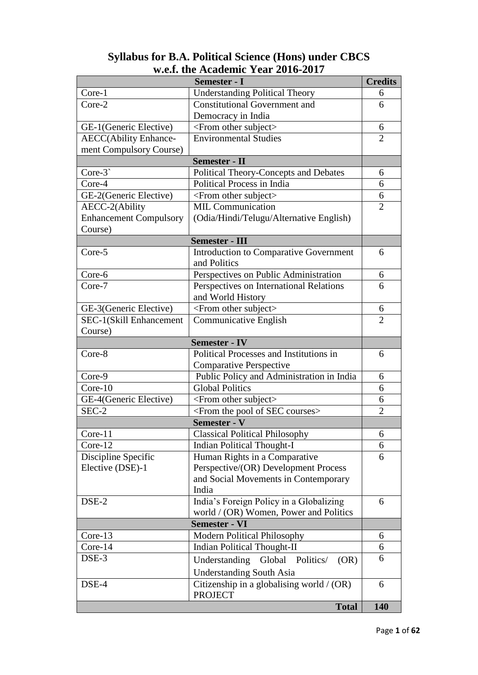|                               | <b>Semester - I</b>                                                         | <b>Credits</b> |
|-------------------------------|-----------------------------------------------------------------------------|----------------|
| Core-1                        | <b>Understanding Political Theory</b>                                       | 6              |
| Core-2                        | Constitutional Government and                                               | 6              |
|                               | Democracy in India                                                          |                |
| GE-1(Generic Elective)        | <from other="" subject=""></from>                                           | 6              |
| <b>AECC</b> (Ability Enhance- | <b>Environmental Studies</b>                                                | $\overline{2}$ |
| ment Compulsory Course)       |                                                                             |                |
|                               | <b>Semester - II</b>                                                        |                |
| Core-3`                       | <b>Political Theory-Concepts and Debates</b>                                | 6              |
| Core-4                        | Political Process in India                                                  | 6              |
| GE-2(Generic Elective)        | <from other="" subject=""></from>                                           | 6              |
| AECC-2(Ability                | <b>MIL Communication</b>                                                    | $\overline{2}$ |
| <b>Enhancement Compulsory</b> | (Odia/Hindi/Telugu/Alternative English)                                     |                |
| Course)                       |                                                                             |                |
|                               | <b>Semester - III</b>                                                       |                |
| Core-5                        | <b>Introduction to Comparative Government</b>                               | 6              |
|                               | and Politics                                                                |                |
| Core-6                        | Perspectives on Public Administration                                       | 6              |
| Core-7                        | Perspectives on International Relations                                     | 6              |
|                               | and World History                                                           |                |
| GE-3(Generic Elective)        | <from other="" subject=""></from>                                           | 6              |
| SEC-1(Skill Enhancement       | Communicative English                                                       | $\overline{2}$ |
| Course)                       |                                                                             |                |
| Core-8                        | <b>Semester - IV</b><br>Political Processes and Institutions in             |                |
|                               |                                                                             | 6              |
| Core-9                        | <b>Comparative Perspective</b><br>Public Policy and Administration in India | 6              |
| $Core-10$                     | <b>Global Politics</b>                                                      | 6              |
| GE-4(Generic Elective)        | <from other="" subject=""></from>                                           | 6              |
| SEC-2                         | <from courses="" of="" pool="" sec="" the=""></from>                        | $\overline{2}$ |
|                               | <b>Semester - V</b>                                                         |                |
| Core-11                       | <b>Classical Political Philosophy</b>                                       | 6              |
| Core-12                       | <b>Indian Political Thought-I</b>                                           | 6              |
| Discipline Specific           | Human Rights in a Comparative                                               | 6              |
| Elective (DSE)-1              | Perspective/(OR) Development Process                                        |                |
|                               | and Social Movements in Contemporary                                        |                |
|                               | India                                                                       |                |
| DSE-2                         | India's Foreign Policy in a Globalizing                                     | 6              |
|                               | world / (OR) Women, Power and Politics                                      |                |
| <b>Semester - VI</b>          |                                                                             |                |
| Core-13                       | <b>Modern Political Philosophy</b>                                          | 6              |
| $Core-14$                     | <b>Indian Political Thought-II</b>                                          | 6              |
| DSE-3                         | Understanding<br>Global<br>Politics/<br>(OR)                                | 6              |
|                               | <b>Understanding South Asia</b>                                             |                |
| DSE-4                         | Citizenship in a globalising world $/(OR)$                                  | 6              |
|                               | <b>PROJECT</b>                                                              |                |
|                               | <b>Total</b>                                                                | 140            |

# **Syllabus for B.A. Political Science (Hons) under CBCS w.e.f. the Academic Year 2016-2017**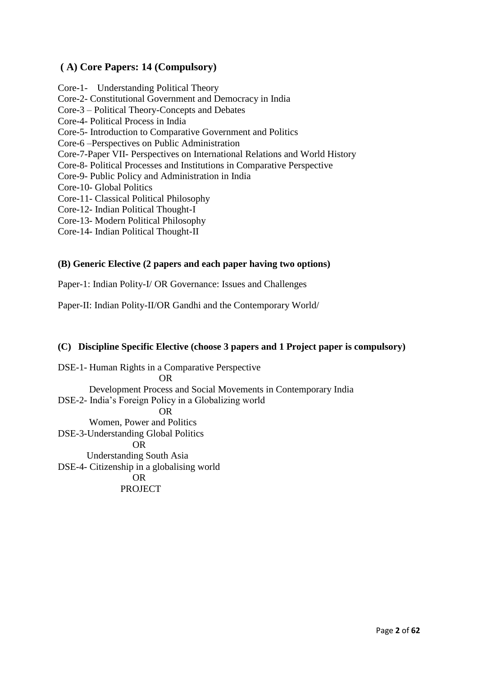### **( A) Core Papers: 14 (Compulsory)**

- Core-1- Understanding Political Theory Core-2- Constitutional Government and Democracy in India Core-3 – Political Theory-Concepts and Debates Core-4- Political Process in India Core-5- Introduction to Comparative Government and Politics Core-6 –Perspectives on Public Administration Core-7-Paper VII- Perspectives on International Relations and World History Core-8- Political Processes and Institutions in Comparative Perspective Core-9- Public Policy and Administration in India Core-10- Global Politics Core-11- Classical Political Philosophy Core-12- Indian Political Thought-I Core-13- Modern Political Philosophy
- Core-14- Indian Political Thought-II

#### **(B) Generic Elective (2 papers and each paper having two options)**

Paper-1: Indian Polity-I/ OR Governance: Issues and Challenges

Paper-II: Indian Polity-II/OR Gandhi and the Contemporary World/

#### **(C) Discipline Specific Elective (choose 3 papers and 1 Project paper is compulsory)**

DSE-1- Human Rights in a Comparative Perspective OR Development Process and Social Movements in Contemporary India DSE-2- India's Foreign Policy in a Globalizing world **OR** OR Women, Power and Politics DSE-3-Understanding Global Politics OR Understanding South Asia DSE-4- Citizenship in a globalising world OR **PROJECT**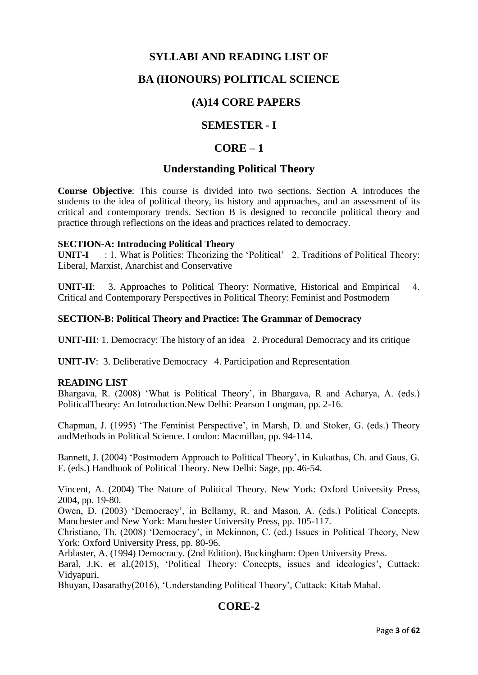### **SYLLABI AND READING LIST OF**

### **BA (HONOURS) POLITICAL SCIENCE**

### **(A)14 CORE PAPERS**

### **SEMESTER - I**

### $CORE - 1$

### **Understanding Political Theory**

**Course Objective**: This course is divided into two sections. Section A introduces the students to the idea of political theory, its history and approaches, and an assessment of its critical and contemporary trends. Section B is designed to reconcile political theory and practice through reflections on the ideas and practices related to democracy.

#### **SECTION-A: Introducing Political Theory**

**UNIT-I** : 1. What is Politics: Theorizing the 'Political' 2. Traditions of Political Theory: Liberal, Marxist, Anarchist and Conservative

**UNIT-II**: 3. Approaches to Political Theory: Normative, Historical and Empirical 4. Critical and Contemporary Perspectives in Political Theory: Feminist and Postmodern

#### **SECTION-B: Political Theory and Practice: The Grammar of Democracy**

**UNIT-III**: 1. Democracy: The history of an idea 2. Procedural Democracy and its critique

**UNIT-IV**: 3. Deliberative Democracy 4. Participation and Representation

#### **READING LIST**

Bhargava, R. (2008) 'What is Political Theory', in Bhargava, R and Acharya, A. (eds.) PoliticalTheory: An Introduction.New Delhi: Pearson Longman, pp. 2-16.

Chapman, J. (1995) 'The Feminist Perspective', in Marsh, D. and Stoker, G. (eds.) Theory andMethods in Political Science. London: Macmillan, pp. 94-114.

Bannett, J. (2004) 'Postmodern Approach to Political Theory', in Kukathas, Ch. and Gaus, G. F. (eds.) Handbook of Political Theory. New Delhi: Sage, pp. 46-54.

Vincent, A. (2004) The Nature of Political Theory. New York: Oxford University Press, 2004, pp. 19-80.

Owen, D. (2003) 'Democracy', in Bellamy, R. and Mason, A. (eds.) Political Concepts. Manchester and New York: Manchester University Press, pp. 105-117.

Christiano, Th. (2008) 'Democracy', in Mckinnon, C. (ed.) Issues in Political Theory, New York: Oxford University Press, pp. 80-96.

Arblaster, A. (1994) Democracy. (2nd Edition). Buckingham: Open University Press.

Baral, J.K. et al.(2015), 'Political Theory: Concepts, issues and ideologies', Cuttack: Vidyapuri.

Bhuyan, Dasarathy(2016), 'Understanding Political Theory', Cuttack: Kitab Mahal.

### **CORE-2**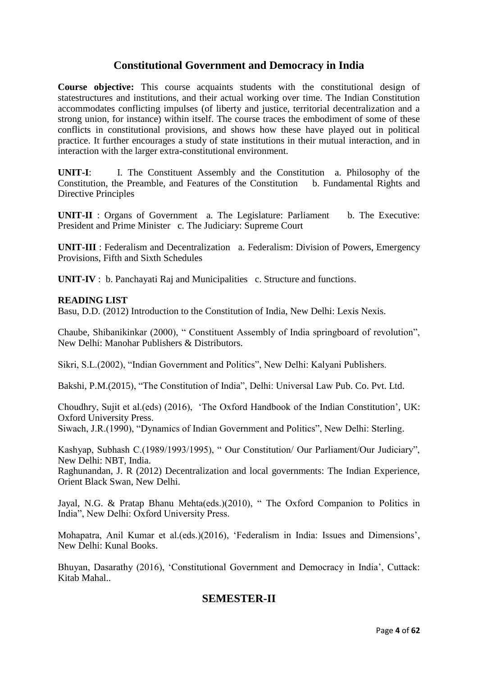### **Constitutional Government and Democracy in India**

**Course objective:** This course acquaints students with the constitutional design of statestructures and institutions, and their actual working over time. The Indian Constitution accommodates conflicting impulses (of liberty and justice, territorial decentralization and a strong union, for instance) within itself. The course traces the embodiment of some of these conflicts in constitutional provisions, and shows how these have played out in political practice. It further encourages a study of state institutions in their mutual interaction, and in interaction with the larger extra-constitutional environment.

**UNIT-I**: I. The Constituent Assembly and the Constitution a. Philosophy of the Constitution, the Preamble, and Features of the Constitution b. Fundamental Rights and Directive Principles

**UNIT-II** : Organs of Government a. The Legislature: Parliament b. The Executive: President and Prime Minister c. The Judiciary: Supreme Court

**UNIT-III** : Federalism and Decentralization a. Federalism: Division of Powers, Emergency Provisions, Fifth and Sixth Schedules

**UNIT-IV** : b. Panchayati Raj and Municipalities c. Structure and functions.

#### **READING LIST**

Basu, D.D. (2012) Introduction to the Constitution of India, New Delhi: Lexis Nexis.

Chaube, Shibanikinkar (2000), " Constituent Assembly of India springboard of revolution", New Delhi: Manohar Publishers & Distributors.

Sikri, S.L.(2002), "Indian Government and Politics", New Delhi: Kalyani Publishers.

Bakshi, P.M.(2015), "The Constitution of India", Delhi: Universal Law Pub. Co. Pvt. Ltd.

Choudhry, Sujit et al.(eds) (2016), 'The Oxford Handbook of the Indian Constitution', UK: Oxford University Press.

Siwach, J.R.(1990), "Dynamics of Indian Government and Politics", New Delhi: Sterling.

Kashyap, Subhash C.(1989/1993/1995), " Our Constitution/ Our Parliament/Our Judiciary", New Delhi: NBT, India.

Raghunandan, J. R (2012) Decentralization and local governments: The Indian Experience, Orient Black Swan, New Delhi.

Jayal, N.G. & Pratap Bhanu Mehta(eds.)(2010), " The Oxford Companion to Politics in India", New Delhi: Oxford University Press.

Mohapatra, Anil Kumar et al.(eds.)(2016), 'Federalism in India: Issues and Dimensions', New Delhi: Kunal Books.

Bhuyan, Dasarathy (2016), 'Constitutional Government and Democracy in India', Cuttack: Kitab Mahal..

### **SEMESTER-II**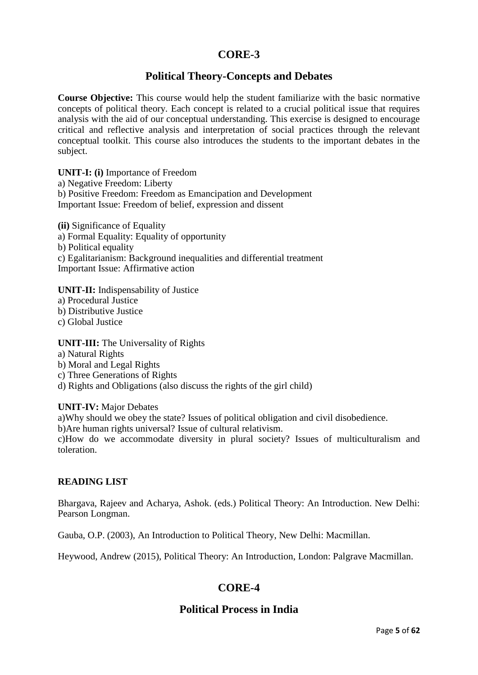### **CORE-3**

### **Political Theory-Concepts and Debates**

**Course Objective:** This course would help the student familiarize with the basic normative concepts of political theory. Each concept is related to a crucial political issue that requires analysis with the aid of our conceptual understanding. This exercise is designed to encourage critical and reflective analysis and interpretation of social practices through the relevant conceptual toolkit. This course also introduces the students to the important debates in the subject.

**UNIT-I: (i)** Importance of Freedom a) Negative Freedom: Liberty b) Positive Freedom: Freedom as Emancipation and Development Important Issue: Freedom of belief, expression and dissent

**(ii)** Significance of Equality a) Formal Equality: Equality of opportunity b) Political equality c) Egalitarianism: Background inequalities and differential treatment Important Issue: Affirmative action

**UNIT-II:** Indispensability of Justice

a) Procedural Justice b) Distributive Justice c) Global Justice

#### **UNIT-III:** The Universality of Rights

- a) Natural Rights
- b) Moral and Legal Rights
- c) Three Generations of Rights
- d) Rights and Obligations (also discuss the rights of the girl child)

#### **UNIT-IV:** Major Debates

a)Why should we obey the state? Issues of political obligation and civil disobedience.

b)Are human rights universal? Issue of cultural relativism.

c)How do we accommodate diversity in plural society? Issues of multiculturalism and toleration.

#### **READING LIST**

Bhargava, Rajeev and Acharya, Ashok. (eds.) Political Theory: An Introduction. New Delhi: Pearson Longman.

Gauba, O.P. (2003), An Introduction to Political Theory, New Delhi: Macmillan.

Heywood, Andrew (2015), Political Theory: An Introduction, London: Palgrave Macmillan.

### **CORE-4**

### **Political Process in India**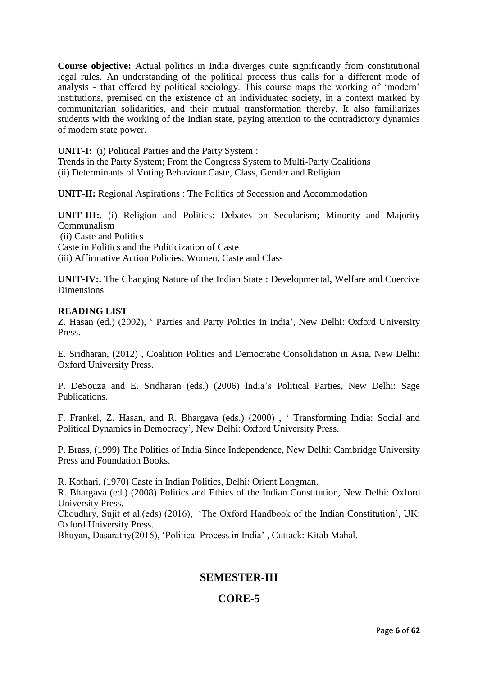**Course objective:** Actual politics in India diverges quite significantly from constitutional legal rules. An understanding of the political process thus calls for a different mode of analysis - that offered by political sociology. This course maps the working of 'modern' institutions, premised on the existence of an individuated society, in a context marked by communitarian solidarities, and their mutual transformation thereby. It also familiarizes students with the working of the Indian state, paying attention to the contradictory dynamics of modern state power.

**UNIT-I:** (i) Political Parties and the Party System :

Trends in the Party System; From the Congress System to Multi-Party Coalitions (ii) Determinants of Voting Behaviour Caste, Class, Gender and Religion

**UNIT-II:** Regional Aspirations : The Politics of Secession and Accommodation

**UNIT-III:.** (i) Religion and Politics: Debates on Secularism; Minority and Majority Communalism (ii) Caste and Politics

Caste in Politics and the Politicization of Caste (iii) Affirmative Action Policies: Women, Caste and Class

**UNIT-IV:.** The Changing Nature of the Indian State : Developmental, Welfare and Coercive Dimensions

#### **READING LIST**

Z. Hasan (ed.) (2002), ' Parties and Party Politics in India', New Delhi: Oxford University Press.

E. Sridharan, (2012) , Coalition Politics and Democratic Consolidation in Asia, New Delhi: Oxford University Press.

P. DeSouza and E. Sridharan (eds.) (2006) India's Political Parties, New Delhi: Sage Publications.

F. Frankel, Z. Hasan, and R. Bhargava (eds.) (2000) , ' Transforming India: Social and Political Dynamics in Democracy', New Delhi: Oxford University Press.

P. Brass, (1999) The Politics of India Since Independence, New Delhi: Cambridge University Press and Foundation Books.

R. Kothari, (1970) Caste in Indian Politics, Delhi: Orient Longman.

R. Bhargava (ed.) (2008) Politics and Ethics of the Indian Constitution, New Delhi: Oxford University Press.

Choudhry, Sujit et al.(eds) (2016), 'The Oxford Handbook of the Indian Constitution', UK: Oxford University Press.

Bhuyan, Dasarathy(2016), 'Political Process in India' , Cuttack: Kitab Mahal.

### **SEMESTER-III**

### **CORE-5**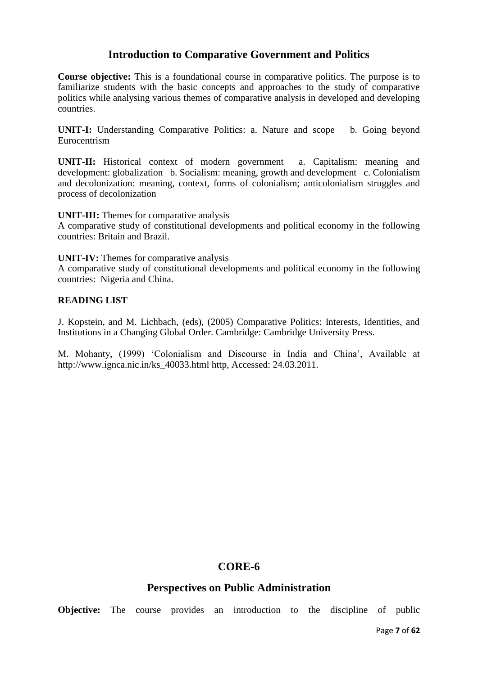### **Introduction to Comparative Government and Politics**

**Course objective:** This is a foundational course in comparative politics. The purpose is to familiarize students with the basic concepts and approaches to the study of comparative politics while analysing various themes of comparative analysis in developed and developing countries.

**UNIT-I:** Understanding Comparative Politics: a. Nature and scope b. Going beyond Eurocentrism

**UNIT-II:** Historical context of modern government a. Capitalism: meaning and development: globalization b. Socialism: meaning, growth and development c. Colonialism and decolonization: meaning, context, forms of colonialism; anticolonialism struggles and process of decolonization

**UNIT-III:** Themes for comparative analysis

A comparative study of constitutional developments and political economy in the following countries: Britain and Brazil.

**UNIT-IV:** Themes for comparative analysis

A comparative study of constitutional developments and political economy in the following countries: Nigeria and China.

#### **READING LIST**

J. Kopstein, and M. Lichbach, (eds), (2005) Comparative Politics: Interests, Identities, and Institutions in a Changing Global Order. Cambridge: Cambridge University Press.

M. Mohanty, (1999) 'Colonialism and Discourse in India and China', Available at http://www.ignca.nic.in/ks 40033.html http. Accessed: 24.03.2011.

### **CORE-6**

### **Perspectives on Public Administration**

**Objective:** The course provides an introduction to the discipline of public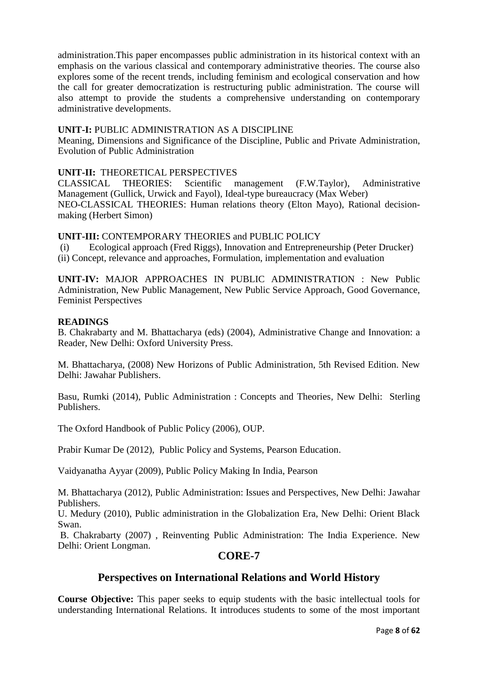administration.This paper encompasses public administration in its historical context with an emphasis on the various classical and contemporary administrative theories. The course also explores some of the recent trends, including feminism and ecological conservation and how the call for greater democratization is restructuring public administration. The course will also attempt to provide the students a comprehensive understanding on contemporary administrative developments.

#### **UNIT-I:** PUBLIC ADMINISTRATION AS A DISCIPLINE

Meaning, Dimensions and Significance of the Discipline, Public and Private Administration, Evolution of Public Administration

#### **UNIT-II:** THEORETICAL PERSPECTIVES

CLASSICAL THEORIES: Scientific management (F.W.Taylor), Administrative Management (Gullick, Urwick and Fayol), Ideal-type bureaucracy (Max Weber) NEO-CLASSICAL THEORIES: Human relations theory (Elton Mayo), Rational decisionmaking (Herbert Simon)

**UNIT-III:** CONTEMPORARY THEORIES and PUBLIC POLICY

(i) Ecological approach (Fred Riggs), Innovation and Entrepreneurship (Peter Drucker) (ii) Concept, relevance and approaches, Formulation, implementation and evaluation

**UNIT-IV:** MAJOR APPROACHES IN PUBLIC ADMINISTRATION : New Public Administration, New Public Management, New Public Service Approach, Good Governance, Feminist Perspectives

#### **READINGS**

B. Chakrabarty and M. Bhattacharya (eds) (2004), Administrative Change and Innovation: a Reader, New Delhi: Oxford University Press.

M. Bhattacharya, (2008) New Horizons of Public Administration, 5th Revised Edition. New Delhi: Jawahar Publishers.

Basu, Rumki (2014), Public Administration : Concepts and Theories, New Delhi: Sterling Publishers.

The Oxford Handbook of Public Policy (2006), OUP.

Prabir Kumar De (2012), Public Policy and Systems, Pearson Education.

Vaidyanatha Ayyar (2009), Public Policy Making In India, Pearson

M. Bhattacharya (2012), Public Administration: Issues and Perspectives, New Delhi: Jawahar Publishers.

U. Medury (2010), Public administration in the Globalization Era, New Delhi: Orient Black Swan.

B. Chakrabarty (2007) , Reinventing Public Administration: The India Experience. New Delhi: Orient Longman.

### **CORE-7**

### **Perspectives on International Relations and World History**

**Course Objective:** This paper seeks to equip students with the basic intellectual tools for understanding International Relations. It introduces students to some of the most important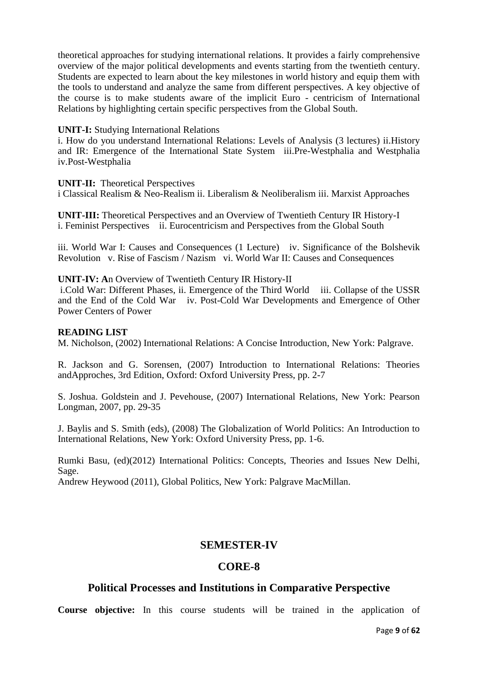theoretical approaches for studying international relations. It provides a fairly comprehensive overview of the major political developments and events starting from the twentieth century. Students are expected to learn about the key milestones in world history and equip them with the tools to understand and analyze the same from different perspectives. A key objective of the course is to make students aware of the implicit Euro - centricism of International Relations by highlighting certain specific perspectives from the Global South.

#### **UNIT-I:** Studying International Relations

i. How do you understand International Relations: Levels of Analysis (3 lectures) ii.History and IR: Emergence of the International State System iii.Pre-Westphalia and Westphalia iv.Post-Westphalia

#### **UNIT-II:** Theoretical Perspectives

i Classical Realism & Neo-Realism ii. Liberalism & Neoliberalism iii. Marxist Approaches

**UNIT-III:** Theoretical Perspectives and an Overview of Twentieth Century IR History-I i. Feminist Perspectives ii. Eurocentricism and Perspectives from the Global South

iii. World War I: Causes and Consequences (1 Lecture) iv. Significance of the Bolshevik Revolution v. Rise of Fascism / Nazism vi. World War II: Causes and Consequences

#### **UNIT-IV: A**n Overview of Twentieth Century IR History-II

i.Cold War: Different Phases, ii. Emergence of the Third World iii. Collapse of the USSR and the End of the Cold War iv. Post-Cold War Developments and Emergence of Other Power Centers of Power

#### **READING LIST**

M. Nicholson, (2002) International Relations: A Concise Introduction, New York: Palgrave.

R. Jackson and G. Sorensen, (2007) Introduction to International Relations: Theories andApproches, 3rd Edition, Oxford: Oxford University Press, pp. 2-7

S. Joshua. Goldstein and J. Pevehouse, (2007) International Relations, New York: Pearson Longman, 2007, pp. 29-35

J. Baylis and S. Smith (eds), (2008) The Globalization of World Politics: An Introduction to International Relations, New York: Oxford University Press, pp. 1-6.

Rumki Basu, (ed)(2012) International Politics: Concepts, Theories and Issues New Delhi, Sage.

Andrew Heywood (2011), Global Politics, New York: Palgrave MacMillan.

### **SEMESTER-IV**

### **CORE-8**

### **Political Processes and Institutions in Comparative Perspective**

**Course objective:** In this course students will be trained in the application of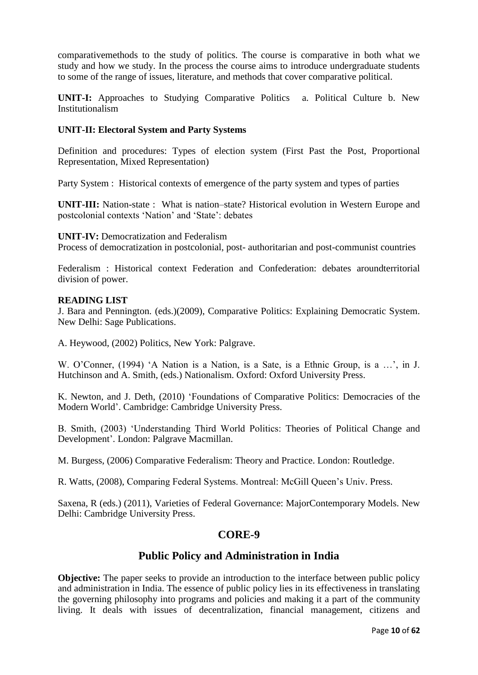comparativemethods to the study of politics. The course is comparative in both what we study and how we study. In the process the course aims to introduce undergraduate students to some of the range of issues, literature, and methods that cover comparative political.

**UNIT-I:** Approaches to Studying Comparative Politics a. Political Culture b. New Institutionalism

#### **UNIT-II: Electoral System and Party Systems**

Definition and procedures: Types of election system (First Past the Post, Proportional Representation, Mixed Representation)

Party System : Historical contexts of emergence of the party system and types of parties

**UNIT-III:** Nation-state : What is nation–state? Historical evolution in Western Europe and postcolonial contexts 'Nation' and 'State': debates

**UNIT-IV:** Democratization and Federalism

Process of democratization in postcolonial, post- authoritarian and post-communist countries

Federalism : Historical context Federation and Confederation: debates aroundterritorial division of power.

#### **READING LIST**

J. Bara and Pennington. (eds.)(2009), Comparative Politics: Explaining Democratic System. New Delhi: Sage Publications.

A. Heywood, (2002) Politics, New York: Palgrave.

W. O'Conner, (1994) 'A Nation is a Nation, is a Sate, is a Ethnic Group, is a …', in J. Hutchinson and A. Smith, (eds.) Nationalism. Oxford: Oxford University Press.

K. Newton, and J. Deth, (2010) 'Foundations of Comparative Politics: Democracies of the Modern World'. Cambridge: Cambridge University Press.

B. Smith, (2003) 'Understanding Third World Politics: Theories of Political Change and Development'. London: Palgrave Macmillan.

M. Burgess, (2006) Comparative Federalism: Theory and Practice. London: Routledge.

R. Watts, (2008), Comparing Federal Systems. Montreal: McGill Queen's Univ. Press.

Saxena, R (eds.) (2011), Varieties of Federal Governance: MajorContemporary Models. New Delhi: Cambridge University Press.

### **CORE-9**

### **Public Policy and Administration in India**

**Objective:** The paper seeks to provide an introduction to the interface between public policy and administration in India. The essence of public policy lies in its effectiveness in translating the governing philosophy into programs and policies and making it a part of the community living. It deals with issues of decentralization, financial management, citizens and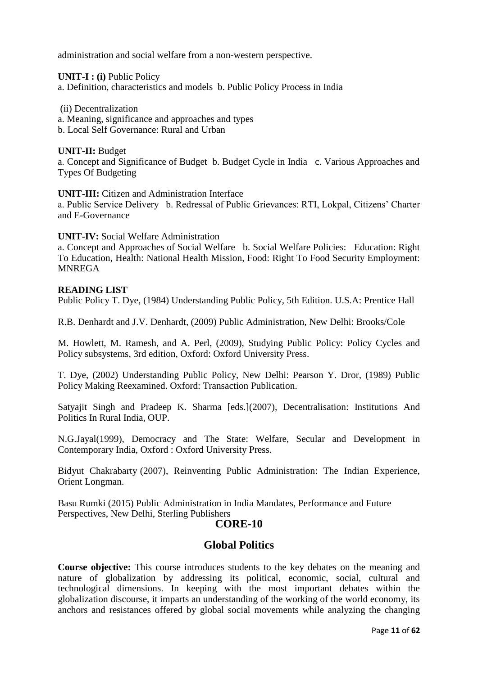administration and social welfare from a non-western perspective.

#### **UNIT-I : (i)** Public Policy

a. Definition, characteristics and models b. Public Policy Process in India

(ii) Decentralization

a. Meaning, significance and approaches and types

b. Local Self Governance: Rural and Urban

#### **UNIT-II:** Budget

a. Concept and Significance of Budget b. Budget Cycle in India c. Various Approaches and Types Of Budgeting

**UNIT-III:** Citizen and Administration Interface a. Public Service Delivery b. Redressal of Public Grievances: RTI, Lokpal, Citizens' Charter and E-Governance

#### **UNIT-IV:** Social Welfare Administration

a. Concept and Approaches of Social Welfare b. Social Welfare Policies: Education: Right To Education, Health: National Health Mission, Food: Right To Food Security Employment: MNREGA

#### **READING LIST**

Public Policy T. Dye, (1984) Understanding Public Policy, 5th Edition. U.S.A: Prentice Hall

R.B. Denhardt and J.V. Denhardt, (2009) Public Administration, New Delhi: Brooks/Cole

M. Howlett, M. Ramesh, and A. Perl, (2009), Studying Public Policy: Policy Cycles and Policy subsystems, 3rd edition, Oxford: Oxford University Press.

T. Dye, (2002) Understanding Public Policy, New Delhi: Pearson Y. Dror, (1989) Public Policy Making Reexamined. Oxford: Transaction Publication.

Satyajit Singh and Pradeep K. Sharma [eds.](2007), Decentralisation: Institutions And Politics In Rural India, OUP.

N.G.Jayal(1999), Democracy and The State: Welfare, Secular and Development in Contemporary India, Oxford : Oxford University Press.

Bidyut Chakrabarty (2007), Reinventing Public Administration: The Indian Experience, Orient Longman.

Basu Rumki (2015) Public Administration in India Mandates, Performance and Future Perspectives, New Delhi, Sterling Publishers

### **CORE-10**

### **Global Politics**

**Course objective:** This course introduces students to the key debates on the meaning and nature of globalization by addressing its political, economic, social, cultural and technological dimensions. In keeping with the most important debates within the globalization discourse, it imparts an understanding of the working of the world economy, its anchors and resistances offered by global social movements while analyzing the changing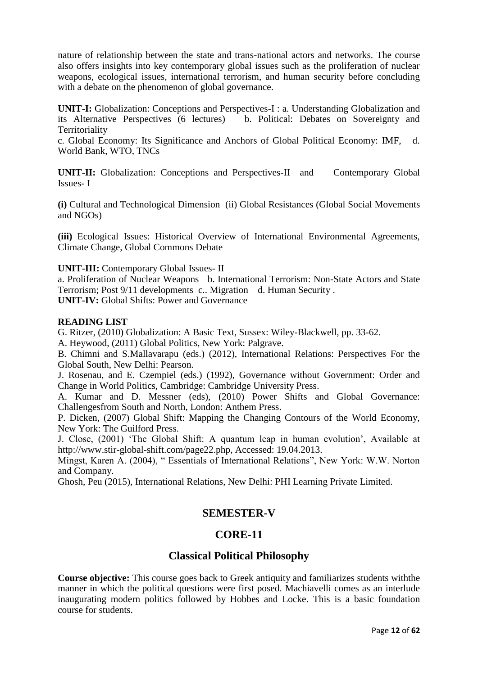nature of relationship between the state and trans-national actors and networks. The course also offers insights into key contemporary global issues such as the proliferation of nuclear weapons, ecological issues, international terrorism, and human security before concluding with a debate on the phenomenon of global governance.

**UNIT-I:** Globalization: Conceptions and Perspectives-I : a. Understanding Globalization and its Alternative Perspectives (6 lectures) b. Political: Debates on Sovereignty and **Territoriality** 

c. Global Economy: Its Significance and Anchors of Global Political Economy: IMF, d. World Bank, WTO, TNCs

**UNIT-II:** Globalization: Conceptions and Perspectives-II and Contemporary Global Issues- I

**(i)** Cultural and Technological Dimension (ii) Global Resistances (Global Social Movements and NGOs)

**(iii)** Ecological Issues: Historical Overview of International Environmental Agreements, Climate Change, Global Commons Debate

**UNIT-III:** Contemporary Global Issues- II

a. Proliferation of Nuclear Weapons b. International Terrorism: Non-State Actors and State Terrorism; Post 9/11 developments c.. Migration d. Human Security . **UNIT-IV:** Global Shifts: Power and Governance

#### **READING LIST**

G. Ritzer, (2010) Globalization: A Basic Text, Sussex: Wiley-Blackwell, pp. 33-62.

A. Heywood, (2011) Global Politics, New York: Palgrave.

B. Chimni and S.Mallavarapu (eds.) (2012), International Relations: Perspectives For the Global South, New Delhi: Pearson.

J. Rosenau, and E. Czempiel (eds.) (1992), Governance without Government: Order and Change in World Politics, Cambridge: Cambridge University Press.

A. Kumar and D. Messner (eds), (2010) Power Shifts and Global Governance: Challengesfrom South and North, London: Anthem Press.

P. Dicken, (2007) Global Shift: Mapping the Changing Contours of the World Economy, New York: The Guilford Press.

J. Close, (2001) 'The Global Shift: A quantum leap in human evolution', Available at http://www.stir-global-shift.com/page22.php, Accessed: 19.04.2013.

Mingst, Karen A. (2004), " Essentials of International Relations", New York: W.W. Norton and Company.

Ghosh, Peu (2015), International Relations, New Delhi: PHI Learning Private Limited.

### **SEMESTER-V**

### **CORE-11**

### **Classical Political Philosophy**

**Course objective:** This course goes back to Greek antiquity and familiarizes students withthe manner in which the political questions were first posed. Machiavelli comes as an interlude inaugurating modern politics followed by Hobbes and Locke. This is a basic foundation course for students.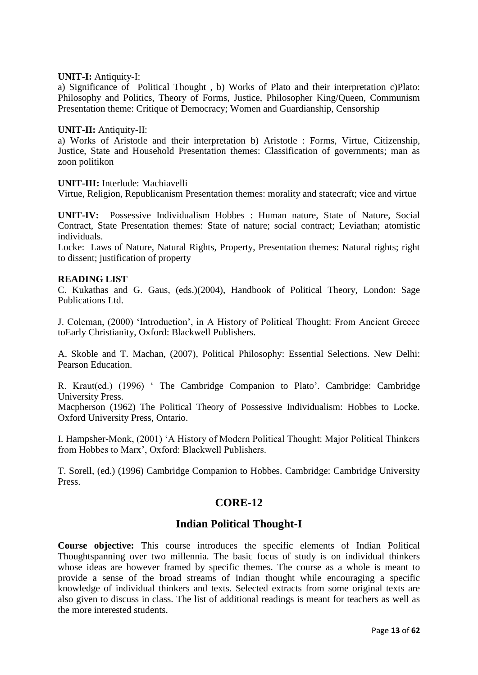#### **UNIT-I:** Antiquity-I:

a) Significance of Political Thought , b) Works of Plato and their interpretation c)Plato: Philosophy and Politics, Theory of Forms, Justice, Philosopher King/Queen, Communism Presentation theme: Critique of Democracy; Women and Guardianship, Censorship

#### **UNIT-II:** Antiquity-II:

a) Works of Aristotle and their interpretation b) Aristotle : Forms, Virtue, Citizenship, Justice, State and Household Presentation themes: Classification of governments; man as zoon politikon

#### **UNIT-III:** Interlude: Machiavelli

Virtue, Religion, Republicanism Presentation themes: morality and statecraft; vice and virtue

**UNIT-IV:** Possessive Individualism Hobbes : Human nature, State of Nature, Social Contract, State Presentation themes: State of nature; social contract; Leviathan; atomistic individuals.

Locke: Laws of Nature, Natural Rights, Property, Presentation themes: Natural rights; right to dissent; justification of property

#### **READING LIST**

C. Kukathas and G. Gaus, (eds.)(2004), Handbook of Political Theory, London: Sage Publications Ltd.

J. Coleman, (2000) 'Introduction', in A History of Political Thought: From Ancient Greece toEarly Christianity, Oxford: Blackwell Publishers.

A. Skoble and T. Machan, (2007), Political Philosophy: Essential Selections. New Delhi: Pearson Education.

R. Kraut(ed.) (1996) ' The Cambridge Companion to Plato'. Cambridge: Cambridge University Press.

Macpherson (1962) The Political Theory of Possessive Individualism: Hobbes to Locke. Oxford University Press, Ontario.

I. Hampsher-Monk, (2001) 'A History of Modern Political Thought: Major Political Thinkers from Hobbes to Marx', Oxford: Blackwell Publishers.

T. Sorell, (ed.) (1996) Cambridge Companion to Hobbes. Cambridge: Cambridge University Press.

### **CORE-12**

### **Indian Political Thought-I**

**Course objective:** This course introduces the specific elements of Indian Political Thoughtspanning over two millennia. The basic focus of study is on individual thinkers whose ideas are however framed by specific themes. The course as a whole is meant to provide a sense of the broad streams of Indian thought while encouraging a specific knowledge of individual thinkers and texts. Selected extracts from some original texts are also given to discuss in class. The list of additional readings is meant for teachers as well as the more interested students.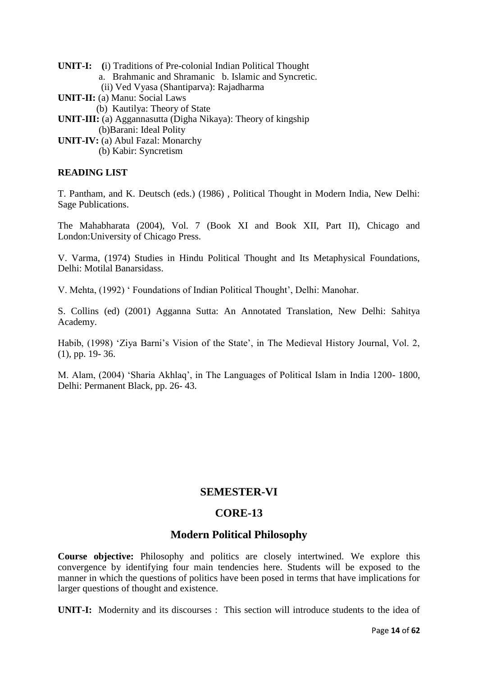**UNIT-I: (**i) Traditions of Pre-colonial Indian Political Thought

- a. Brahmanic and Shramanic b. Islamic and Syncretic.
	- (ii) Ved Vyasa (Shantiparva): Rajadharma
- **UNIT-II:** (a) Manu: Social Laws
	- (b) Kautilya: Theory of State
- **UNIT-III:** (a) Aggannasutta (Digha Nikaya): Theory of kingship (b)Barani: Ideal Polity
- **UNIT-IV:** (a) Abul Fazal: Monarchy (b) Kabir: Syncretism

### **READING LIST**

T. Pantham, and K. Deutsch (eds.) (1986) , Political Thought in Modern India, New Delhi: Sage Publications.

The Mahabharata (2004), Vol. 7 (Book XI and Book XII, Part II), Chicago and London:University of Chicago Press.

V. Varma, (1974) Studies in Hindu Political Thought and Its Metaphysical Foundations, Delhi: Motilal Banarsidass.

V. Mehta, (1992) ' Foundations of Indian Political Thought', Delhi: Manohar.

S. Collins (ed) (2001) Agganna Sutta: An Annotated Translation, New Delhi: Sahitya Academy.

Habib, (1998) 'Ziya Barni's Vision of the State', in The Medieval History Journal, Vol. 2, (1), pp. 19- 36.

M. Alam, (2004) 'Sharia Akhlaq', in The Languages of Political Islam in India 1200- 1800, Delhi: Permanent Black, pp. 26- 43.

### **SEMESTER-VI**

### **CORE-13**

### **Modern Political Philosophy**

**Course objective:** Philosophy and politics are closely intertwined. We explore this convergence by identifying four main tendencies here. Students will be exposed to the manner in which the questions of politics have been posed in terms that have implications for larger questions of thought and existence.

**UNIT-I:** Modernity and its discourses : This section will introduce students to the idea of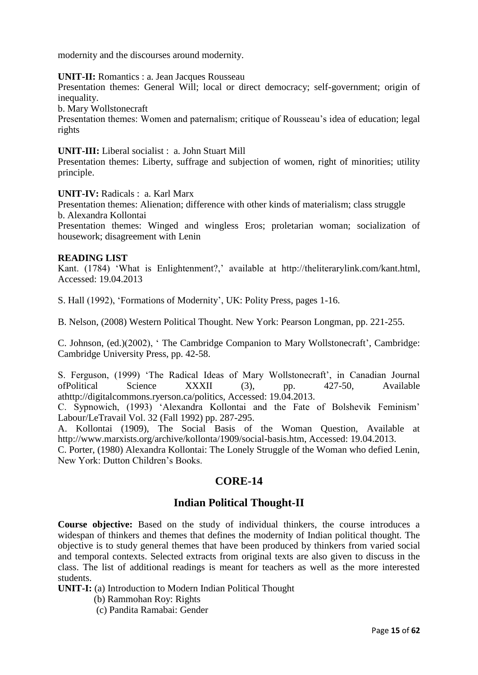modernity and the discourses around modernity.

#### **UNIT-II:** Romantics : a. Jean Jacques Rousseau

Presentation themes: General Will; local or direct democracy; self-government; origin of inequality.

b. Mary Wollstonecraft

Presentation themes: Women and paternalism; critique of Rousseau's idea of education; legal rights

#### **UNIT-III:** Liberal socialist : a. John Stuart Mill

Presentation themes: Liberty, suffrage and subjection of women, right of minorities; utility principle.

**UNIT-IV:** Radicals : a. Karl Marx

Presentation themes: Alienation; difference with other kinds of materialism; class struggle b. Alexandra Kollontai

Presentation themes: Winged and wingless Eros; proletarian woman; socialization of housework; disagreement with Lenin

#### **READING LIST**

Kant. (1784) 'What is Enlightenment?,' available at http://theliterarylink.com/kant.html, Accessed: 19.04.2013

S. Hall (1992), 'Formations of Modernity', UK: Polity Press, pages 1-16.

B. Nelson, (2008) Western Political Thought. New York: Pearson Longman, pp. 221-255.

C. Johnson, (ed.)(2002), ' The Cambridge Companion to Mary Wollstonecraft', Cambridge: Cambridge University Press, pp. 42-58.

S. Ferguson, (1999) 'The Radical Ideas of Mary Wollstonecraft', in Canadian Journal ofPolitical Science XXXII (3), pp. 427-50, Available athttp://digitalcommons.ryerson.ca/politics, Accessed: 19.04.2013.

C. Sypnowich, (1993) 'Alexandra Kollontai and the Fate of Bolshevik Feminism' Labour/LeTravail Vol. 32 (Fall 1992) pp. 287-295.

A. Kollontai (1909), The Social Basis of the Woman Question, Available at http://www.marxists.org/archive/kollonta/1909/social-basis.htm, Accessed: 19.04.2013.

C. Porter, (1980) Alexandra Kollontai: The Lonely Struggle of the Woman who defied Lenin, New York: Dutton Children's Books.

### **CORE-14**

### **Indian Political Thought-II**

**Course objective:** Based on the study of individual thinkers, the course introduces a widespan of thinkers and themes that defines the modernity of Indian political thought. The objective is to study general themes that have been produced by thinkers from varied social and temporal contexts. Selected extracts from original texts are also given to discuss in the class. The list of additional readings is meant for teachers as well as the more interested students.

**UNIT-I:** (a) Introduction to Modern Indian Political Thought

- (b) Rammohan Roy: Rights
- (c) Pandita Ramabai: Gender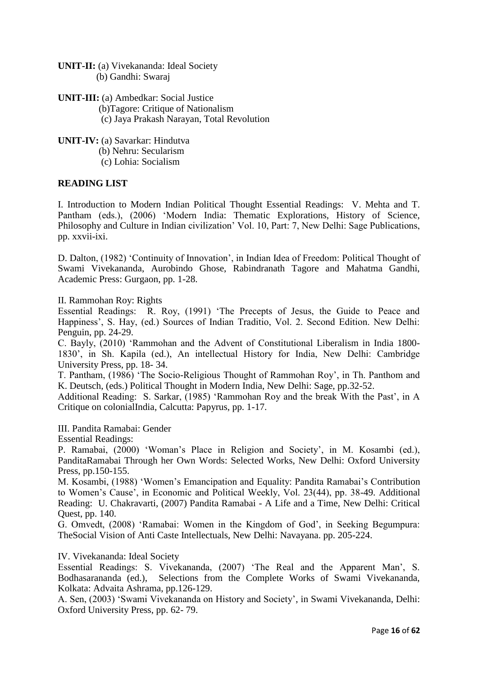**UNIT-II:** (a) Vivekananda: Ideal Society (b) Gandhi: Swaraj

**UNIT-III:** (a) Ambedkar: Social Justice

(b)Tagore: Critique of Nationalism

(c) Jaya Prakash Narayan, Total Revolution

**UNIT-IV:** (a) Savarkar: Hindutva

(b) Nehru: Secularism

(c) Lohia: Socialism

#### **READING LIST**

I. Introduction to Modern Indian Political Thought Essential Readings: V. Mehta and T. Pantham (eds.), (2006) 'Modern India: Thematic Explorations, History of Science, Philosophy and Culture in Indian civilization' Vol. 10, Part: 7, New Delhi: Sage Publications, pp. xxvii-ixi.

D. Dalton, (1982) 'Continuity of Innovation', in Indian Idea of Freedom: Political Thought of Swami Vivekananda, Aurobindo Ghose, Rabindranath Tagore and Mahatma Gandhi, Academic Press: Gurgaon, pp. 1-28.

II. Rammohan Roy: Rights

Essential Readings: R. Roy, (1991) 'The Precepts of Jesus, the Guide to Peace and Happiness', S. Hay, (ed.) Sources of Indian Traditio, Vol. 2. Second Edition. New Delhi: Penguin, pp. 24-29.

C. Bayly, (2010) 'Rammohan and the Advent of Constitutional Liberalism in India 1800- 1830', in Sh. Kapila (ed.), An intellectual History for India, New Delhi: Cambridge University Press, pp. 18- 34.

T. Pantham, (1986) 'The Socio-Religious Thought of Rammohan Roy', in Th. Panthom and K. Deutsch, (eds.) Political Thought in Modern India, New Delhi: Sage, pp.32-52.

Additional Reading: S. Sarkar, (1985) 'Rammohan Roy and the break With the Past', in A Critique on colonialIndia, Calcutta: Papyrus, pp. 1-17.

III. Pandita Ramabai: Gender

Essential Readings:

P. Ramabai, (2000) 'Woman's Place in Religion and Society', in M. Kosambi (ed.), PanditaRamabai Through her Own Words: Selected Works, New Delhi: Oxford University Press, pp.150-155.

M. Kosambi, (1988) 'Women's Emancipation and Equality: Pandita Ramabai's Contribution to Women's Cause', in Economic and Political Weekly, Vol. 23(44), pp. 38-49. Additional Reading: U. Chakravarti, (2007) Pandita Ramabai - A Life and a Time, New Delhi: Critical Quest, pp. 140.

G. Omvedt, (2008) 'Ramabai: Women in the Kingdom of God', in Seeking Begumpura: TheSocial Vision of Anti Caste Intellectuals, New Delhi: Navayana. pp. 205-224.

#### IV. Vivekananda: Ideal Society

Essential Readings: S. Vivekananda, (2007) 'The Real and the Apparent Man', S. Bodhasarananda (ed.), Selections from the Complete Works of Swami Vivekananda, Kolkata: Advaita Ashrama, pp.126-129.

A. Sen, (2003) 'Swami Vivekananda on History and Society', in Swami Vivekananda, Delhi: Oxford University Press, pp. 62- 79.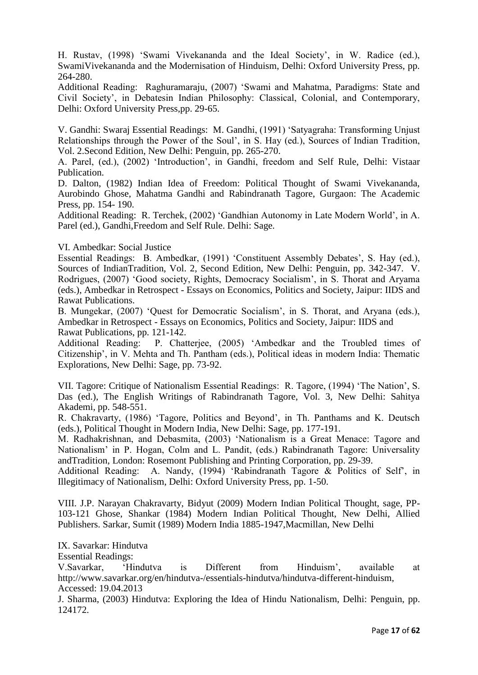H. Rustav, (1998) 'Swami Vivekananda and the Ideal Society', in W. Radice (ed.), SwamiVivekananda and the Modernisation of Hinduism, Delhi: Oxford University Press, pp. 264-280.

Additional Reading: Raghuramaraju, (2007) 'Swami and Mahatma, Paradigms: State and Civil Society', in Debatesin Indian Philosophy: Classical, Colonial, and Contemporary, Delhi: Oxford University Press,pp. 29-65.

V. Gandhi: Swaraj Essential Readings: M. Gandhi, (1991) 'Satyagraha: Transforming Unjust Relationships through the Power of the Soul', in S. Hay (ed.), Sources of Indian Tradition, Vol. 2.Second Edition, New Delhi: Penguin, pp. 265-270.

A. Parel, (ed.), (2002) 'Introduction', in Gandhi, freedom and Self Rule, Delhi: Vistaar Publication.

D. Dalton, (1982) Indian Idea of Freedom: Political Thought of Swami Vivekananda, Aurobindo Ghose, Mahatma Gandhi and Rabindranath Tagore, Gurgaon: The Academic Press, pp. 154- 190.

Additional Reading: R. Terchek, (2002) 'Gandhian Autonomy in Late Modern World', in A. Parel (ed.), Gandhi,Freedom and Self Rule. Delhi: Sage.

#### VI. Ambedkar: Social Justice

Essential Readings: B. Ambedkar, (1991) 'Constituent Assembly Debates', S. Hay (ed.), Sources of IndianTradition, Vol. 2, Second Edition, New Delhi: Penguin, pp. 342-347. V. Rodrigues, (2007) 'Good society, Rights, Democracy Socialism', in S. Thorat and Aryama (eds.), Ambedkar in Retrospect - Essays on Economics, Politics and Society, Jaipur: IIDS and Rawat Publications.

B. Mungekar, (2007) 'Quest for Democratic Socialism', in S. Thorat, and Aryana (eds.), Ambedkar in Retrospect - Essays on Economics, Politics and Society, Jaipur: IIDS and Rawat Publications, pp. 121-142.

Additional Reading: P. Chatterjee, (2005) 'Ambedkar and the Troubled times of Citizenship', in V. Mehta and Th. Pantham (eds.), Political ideas in modern India: Thematic Explorations, New Delhi: Sage, pp. 73-92.

VII. Tagore: Critique of Nationalism Essential Readings: R. Tagore, (1994) 'The Nation', S. Das (ed.), The English Writings of Rabindranath Tagore, Vol. 3, New Delhi: Sahitya Akademi, pp. 548-551.

R. Chakravarty, (1986) 'Tagore, Politics and Beyond', in Th. Panthams and K. Deutsch (eds.), Political Thought in Modern India, New Delhi: Sage, pp. 177-191.

M. Radhakrishnan, and Debasmita, (2003) 'Nationalism is a Great Menace: Tagore and Nationalism' in P. Hogan, Colm and L. Pandit, (eds.) Rabindranath Tagore: Universality andTradition, London: Rosemont Publishing and Printing Corporation, pp. 29-39.

Additional Reading: A. Nandy, (1994) 'Rabindranath Tagore & Politics of Self', in Illegitimacy of Nationalism, Delhi: Oxford University Press, pp. 1-50.

VIII. J.P. Narayan Chakravarty, Bidyut (2009) Modern Indian Political Thought, sage, PP-103-121 Ghose, Shankar (1984) Modern Indian Political Thought, New Delhi, Allied Publishers. Sarkar, Sumit (1989) Modern India 1885-1947,Macmillan, New Delhi

IX. Savarkar: Hindutva

Essential Readings:

V.Savarkar, 'Hindutva is Different from Hinduism', available at http://www.savarkar.org/en/hindutva-/essentials-hindutva/hindutva-different-hinduism, Accessed: 19.04.2013

J. Sharma, (2003) Hindutva: Exploring the Idea of Hindu Nationalism, Delhi: Penguin, pp. 124172.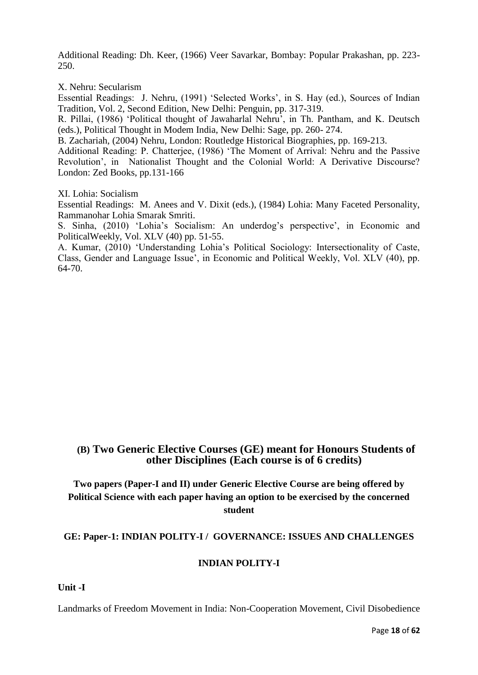Additional Reading: Dh. Keer, (1966) Veer Savarkar, Bombay: Popular Prakashan, pp. 223- 250.

X. Nehru: Secularism

Essential Readings: J. Nehru, (1991) 'Selected Works', in S. Hay (ed.), Sources of Indian Tradition, Vol. 2, Second Edition, New Delhi: Penguin, pp. 317-319.

R. Pillai, (1986) 'Political thought of Jawaharlal Nehru', in Th. Pantham, and K. Deutsch (eds.), Political Thought in Modem India, New Delhi: Sage, pp. 260- 274.

B. Zachariah, (2004) Nehru, London: Routledge Historical Biographies, pp. 169-213.

Additional Reading: P. Chatterjee, (1986) 'The Moment of Arrival: Nehru and the Passive Revolution', in Nationalist Thought and the Colonial World: A Derivative Discourse? London: Zed Books, pp.131-166

XI. Lohia: Socialism

Essential Readings: M. Anees and V. Dixit (eds.), (1984) Lohia: Many Faceted Personality, Rammanohar Lohia Smarak Smriti.

S. Sinha, (2010) 'Lohia's Socialism: An underdog's perspective', in Economic and PoliticalWeekly, Vol. XLV (40) pp. 51-55.

A. Kumar, (2010) 'Understanding Lohia's Political Sociology: Intersectionality of Caste, Class, Gender and Language Issue', in Economic and Political Weekly, Vol. XLV (40), pp. 64-70.

#### **(B) Two Generic Elective Courses (GE) meant for Honours Students of other Disciplines (Each course is of 6 credits)**

**Two papers (Paper-I and II) under Generic Elective Course are being offered by Political Science with each paper having an option to be exercised by the concerned student**

#### **GE: Paper-1: INDIAN POLITY-I / GOVERNANCE: ISSUES AND CHALLENGES**

#### **INDIAN POLITY-I**

**Unit -I**

Landmarks of Freedom Movement in India: Non-Cooperation Movement, Civil Disobedience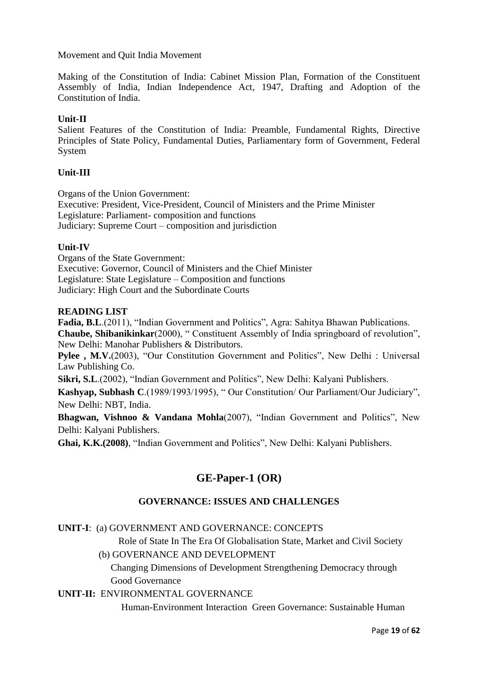Movement and Quit India Movement

Making of the Constitution of India: Cabinet Mission Plan, Formation of the Constituent Assembly of India, Indian Independence Act, 1947, Drafting and Adoption of the Constitution of India.

#### **Unit-II**

Salient Features of the Constitution of India: Preamble, Fundamental Rights, Directive Principles of State Policy, Fundamental Duties, Parliamentary form of Government, Federal System

#### **Unit-III**

Organs of the Union Government: Executive: President, Vice-President, Council of Ministers and the Prime Minister Legislature: Parliament- composition and functions Judiciary: Supreme Court – composition and jurisdiction

#### **Unit-IV**

Organs of the State Government: Executive: Governor, Council of Ministers and the Chief Minister Legislature: State Legislature – Composition and functions Judiciary: High Court and the Subordinate Courts

#### **READING LIST**

**Fadia, B.L**.(2011), "Indian Government and Politics", Agra: Sahitya Bhawan Publications. **Chaube, Shibanikinkar**(2000), " Constituent Assembly of India springboard of revolution", New Delhi: Manohar Publishers & Distributors.

Pylee , M.V.(2003), "Our Constitution Government and Politics", New Delhi : Universal Law Publishing Co.

**Sikri, S.L**.(2002), "Indian Government and Politics", New Delhi: Kalyani Publishers.

**Kashyap, Subhash C**.(1989/1993/1995), " Our Constitution/ Our Parliament/Our Judiciary", New Delhi: NBT, India.

**Bhagwan, Vishnoo & Vandana Mohla**(2007), "Indian Government and Politics", New Delhi: Kalyani Publishers.

**Ghai, K.K.(2008)**, "Indian Government and Politics", New Delhi: Kalyani Publishers.

### **GE-Paper-1 (OR)**

### **GOVERNANCE: ISSUES AND CHALLENGES**

### **UNIT-I**: (a) GOVERNMENT AND GOVERNANCE: CONCEPTS

Role of State In The Era Of Globalisation State, Market and Civil Society

(b) GOVERNANCE AND DEVELOPMENT

 Changing Dimensions of Development Strengthening Democracy through Good Governance

#### **UNIT-II:** ENVIRONMENTAL GOVERNANCE

Human-Environment Interaction Green Governance: Sustainable Human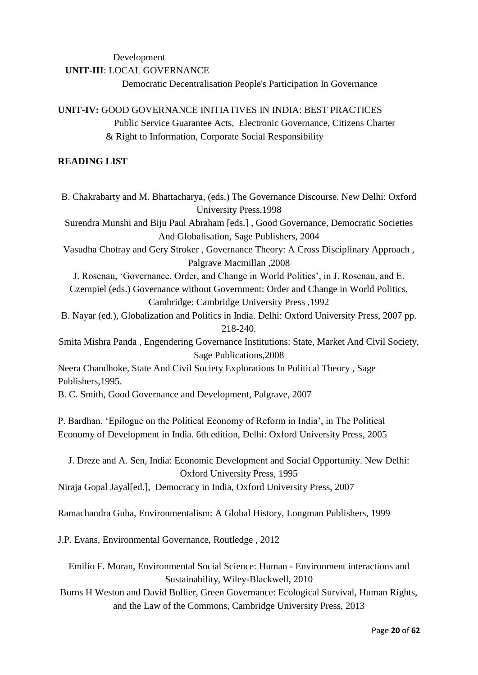Development

**UNIT-III**: LOCAL GOVERNANCE

Democratic Decentralisation People's Participation In Governance

**UNIT-IV:** GOOD GOVERNANCE INITIATIVES IN INDIA: BEST PRACTICES Public Service Guarantee Acts, Electronic Governance, Citizens Charter & Right to Information, Corporate Social Responsibility

### **READING LIST**

B. Chakrabarty and M. Bhattacharya, (eds.) The Governance Discourse. New Delhi: Oxford University Press,1998

Surendra Munshi and Biju Paul Abraham [eds.] , Good Governance, Democratic Societies And Globalisation, Sage Publishers, 2004

Vasudha Chotray and Gery Stroker , Governance Theory: A Cross Disciplinary Approach , Palgrave Macmillan ,2008

J. Rosenau, 'Governance, Order, and Change in World Politics', in J. Rosenau, and E. Czempiel (eds.) Governance without Government: Order and Change in World Politics, Cambridge: Cambridge University Press ,1992

B. Nayar (ed.), Globalization and Politics in India. Delhi: Oxford University Press, 2007 pp. 218-240.

Smita Mishra Panda , Engendering Governance Institutions: State, Market And Civil Society, Sage Publications,2008

Neera Chandhoke, State And Civil Society Explorations In Political Theory , Sage Publishers,1995.

B. C. Smith, Good Governance and Development, Palgrave, 2007

P. Bardhan, 'Epilogue on the Political Economy of Reform in India', in The Political Economy of Development in India. 6th edition, Delhi: Oxford University Press, 2005

J. Dreze and A. Sen, India: Economic Development and Social Opportunity. New Delhi: Oxford University Press, 1995

Niraja Gopal Jayal[ed.], Democracy in India, Oxford University Press, 2007

Ramachandra Guha, Environmentalism: A Global History, Longman Publishers, 1999

J.P. Evans, Environmental Governance, Routledge , 2012

Emilio F. Moran, Environmental Social Science: Human - Environment interactions and Sustainability, Wiley-Blackwell, 2010

Burns H Weston and David Bollier, Green Governance: Ecological Survival, Human Rights, and the Law of the Commons, Cambridge University Press, 2013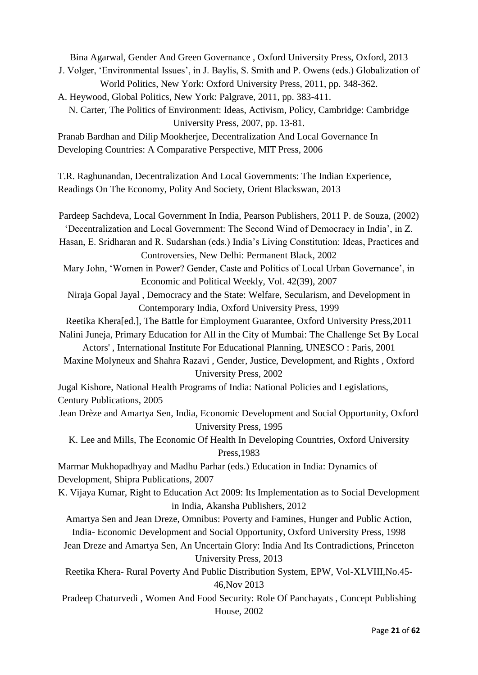Bina Agarwal, Gender And Green Governance , Oxford University Press, Oxford, 2013 J. Volger, 'Environmental Issues', in J. Baylis, S. Smith and P. Owens (eds.) Globalization of World Politics, New York: Oxford University Press, 2011, pp. 348-362. A. Heywood, Global Politics, New York: Palgrave, 2011, pp. 383-411. N. Carter, The Politics of Environment: Ideas, Activism, Policy, Cambridge: Cambridge University Press, 2007, pp. 13-81. Pranab Bardhan and Dilip Mookherjee, Decentralization And Local Governance In Developing Countries: A Comparative Perspective, MIT Press, 2006 T.R. Raghunandan, Decentralization And Local Governments: The Indian Experience, Readings On The Economy, Polity And Society, Orient Blackswan, 2013 Pardeep Sachdeva, Local Government In India, Pearson Publishers, 2011 P. de Souza, (2002) 'Decentralization and Local Government: The Second Wind of Democracy in India', in Z. Hasan, E. Sridharan and R. Sudarshan (eds.) India's Living Constitution: Ideas, Practices and Controversies, New Delhi: Permanent Black, 2002 Mary John, 'Women in Power? Gender, Caste and Politics of Local Urban Governance', in Economic and Political Weekly, Vol. 42(39), 2007 Niraja Gopal Jayal , Democracy and the State: Welfare, Secularism, and Development in Contemporary India, Oxford University Press, 1999 Reetika Khera[ed.], The Battle for Employment Guarantee, Oxford University Press,2011 Nalini Juneja, Primary Education for All in the City of Mumbai: The Challenge Set By Local Actors' , International Institute For Educational Planning, UNESCO : Paris, 2001 Maxine Molyneux and Shahra Razavi , Gender, Justice, Development, and Rights , Oxford University Press, 2002 Jugal Kishore, National Health Programs of India: National Policies and Legislations, Century Publications, 2005 Jean Drèze and Amartya Sen, India, Economic Development and Social Opportunity, Oxford University Press, 1995 K. Lee and Mills, The Economic Of Health In Developing Countries, Oxford University Press,1983 Marmar Mukhopadhyay and Madhu Parhar (eds.) Education in India: Dynamics of Development, Shipra Publications, 2007 K. Vijaya Kumar, Right to Education Act 2009: Its Implementation as to Social Development in India, Akansha Publishers, 2012 Amartya Sen and Jean Dreze, Omnibus: Poverty and Famines, Hunger and Public Action, India- Economic Development and Social Opportunity, Oxford University Press, 1998 Jean Dreze and Amartya Sen, An Uncertain Glory: India And Its Contradictions, Princeton University Press, 2013 Reetika Khera- Rural Poverty And Public Distribution System, EPW, Vol-XLVIII,No.45- 46,Nov 2013 Pradeep Chaturvedi , Women And Food Security: Role Of Panchayats , Concept Publishing House, 2002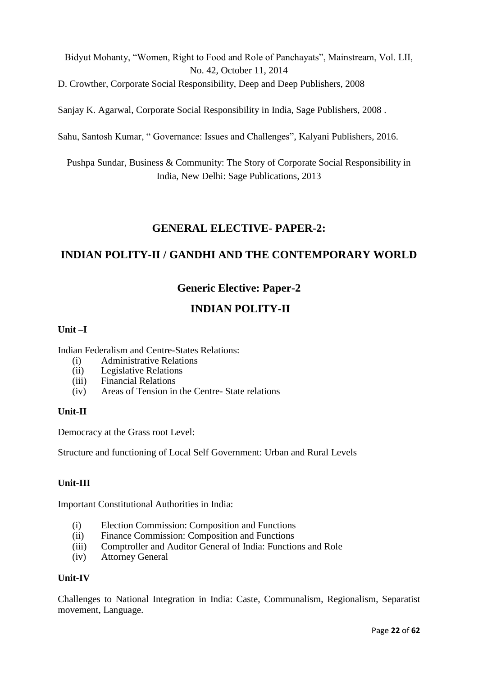Bidyut Mohanty, "Women, Right to Food and Role of Panchayats", Mainstream, Vol. LII, No. 42, October 11, 2014

D. Crowther, Corporate Social Responsibility, Deep and Deep Publishers, 2008

Sanjay K. Agarwal, Corporate Social Responsibility in India, Sage Publishers, 2008 .

Sahu, Santosh Kumar, " Governance: Issues and Challenges", Kalyani Publishers, 2016.

Pushpa Sundar, Business & Community: The Story of Corporate Social Responsibility in India, New Delhi: Sage Publications, 2013

### **GENERAL ELECTIVE- PAPER-2:**

### **INDIAN POLITY-II / GANDHI AND THE CONTEMPORARY WORLD**

### **Generic Elective: Paper-2**

### **INDIAN POLITY-II**

#### **Unit –I**

Indian Federalism and Centre-States Relations:

- (i) Administrative Relations
- (ii) Legislative Relations
- (iii) Financial Relations
- (iv) Areas of Tension in the Centre- State relations

#### **Unit-II**

Democracy at the Grass root Level:

Structure and functioning of Local Self Government: Urban and Rural Levels

#### **Unit-III**

Important Constitutional Authorities in India:

- (i) Election Commission: Composition and Functions
- (ii) Finance Commission: Composition and Functions
- (iii) Comptroller and Auditor General of India: Functions and Role
- (iv) Attorney General

#### **Unit-IV**

Challenges to National Integration in India: Caste, Communalism, Regionalism, Separatist movement, Language.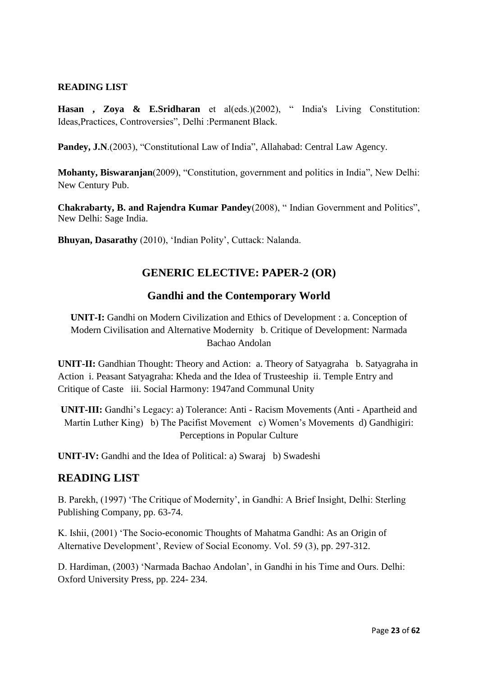### **READING LIST**

**Hasan , Zoya & E.Sridharan** et al(eds.)(2002), " India's Living Constitution: Ideas,Practices, Controversies", Delhi :Permanent Black.

Pandey, J.N.(2003), "Constitutional Law of India", Allahabad: Central Law Agency.

**Mohanty, Biswaranjan**(2009), "Constitution, government and politics in India", New Delhi: New Century Pub.

**Chakrabarty, B. and Rajendra Kumar Pandey**(2008), " Indian Government and Politics", New Delhi: Sage India.

**Bhuyan, Dasarathy** (2010), 'Indian Polity', Cuttack: Nalanda.

### **GENERIC ELECTIVE: PAPER-2 (OR)**

### **Gandhi and the Contemporary World**

**UNIT-I:** Gandhi on Modern Civilization and Ethics of Development : a. Conception of Modern Civilisation and Alternative Modernity b. Critique of Development: Narmada Bachao Andolan

**UNIT-II:** Gandhian Thought: Theory and Action: a. Theory of Satyagraha b. Satyagraha in Action i. Peasant Satyagraha: Kheda and the Idea of Trusteeship ii. Temple Entry and Critique of Caste iii. Social Harmony: 1947and Communal Unity

**UNIT-III:** Gandhi's Legacy: a) Tolerance: Anti - Racism Movements (Anti - Apartheid and Martin Luther King) b) The Pacifist Movement c) Women's Movements d) Gandhigiri: Perceptions in Popular Culture

**UNIT-IV:** Gandhi and the Idea of Political: a) Swaraj b) Swadeshi

### **READING LIST**

B. Parekh, (1997) 'The Critique of Modernity', in Gandhi: A Brief Insight, Delhi: Sterling Publishing Company, pp. 63-74.

K. Ishii, (2001) 'The Socio-economic Thoughts of Mahatma Gandhi: As an Origin of Alternative Development', Review of Social Economy. Vol. 59 (3), pp. 297-312.

D. Hardiman, (2003) 'Narmada Bachao Andolan', in Gandhi in his Time and Ours. Delhi: Oxford University Press, pp. 224- 234.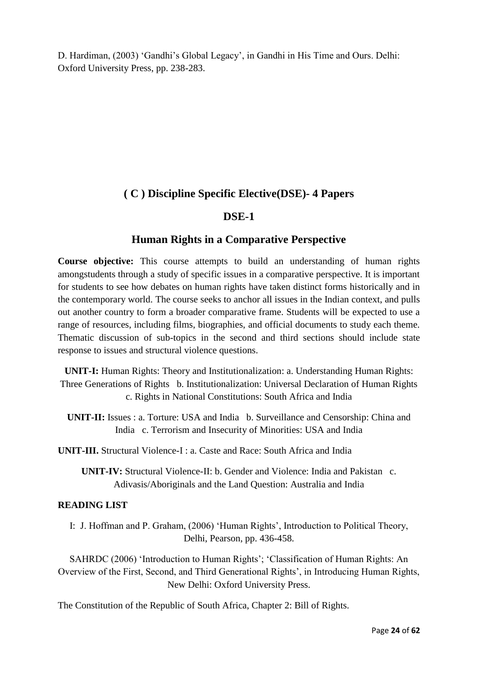D. Hardiman, (2003) 'Gandhi's Global Legacy', in Gandhi in His Time and Ours. Delhi: Oxford University Press, pp. 238-283.

### **( C ) Discipline Specific Elective(DSE)- 4 Papers**

### **DSE-1**

### **Human Rights in a Comparative Perspective**

**Course objective:** This course attempts to build an understanding of human rights amongstudents through a study of specific issues in a comparative perspective. It is important for students to see how debates on human rights have taken distinct forms historically and in the contemporary world. The course seeks to anchor all issues in the Indian context, and pulls out another country to form a broader comparative frame. Students will be expected to use a range of resources, including films, biographies, and official documents to study each theme. Thematic discussion of sub-topics in the second and third sections should include state response to issues and structural violence questions.

**UNIT-I:** Human Rights: Theory and Institutionalization: a. Understanding Human Rights: Three Generations of Rights b. Institutionalization: Universal Declaration of Human Rights c. Rights in National Constitutions: South Africa and India

**UNIT-II:** Issues : a. Torture: USA and India b. Surveillance and Censorship: China and India c. Terrorism and Insecurity of Minorities: USA and India

**UNIT-III.** Structural Violence-I : a. Caste and Race: South Africa and India

**UNIT-IV:** Structural Violence-II: b. Gender and Violence: India and Pakistan c. Adivasis/Aboriginals and the Land Question: Australia and India

### **READING LIST**

I: J. Hoffman and P. Graham, (2006) 'Human Rights', Introduction to Political Theory, Delhi, Pearson, pp. 436-458.

SAHRDC (2006) 'Introduction to Human Rights'; 'Classification of Human Rights: An Overview of the First, Second, and Third Generational Rights', in Introducing Human Rights, New Delhi: Oxford University Press.

The Constitution of the Republic of South Africa, Chapter 2: Bill of Rights.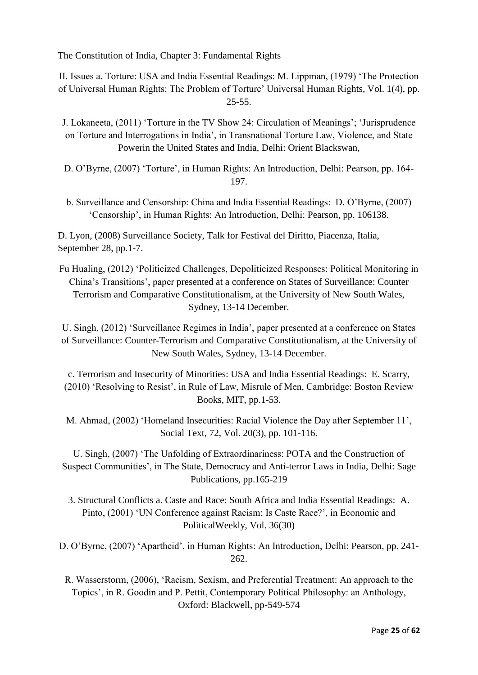The Constitution of India, Chapter 3: Fundamental Rights

II. Issues a. Torture: USA and India Essential Readings: M. Lippman, (1979) 'The Protection of Universal Human Rights: The Problem of Torture' Universal Human Rights, Vol. 1(4), pp. 25-55.

- J. Lokaneeta, (2011) 'Torture in the TV Show 24: Circulation of Meanings'; 'Jurisprudence on Torture and Interrogations in India', in Transnational Torture Law, Violence, and State Powerin the United States and India, Delhi: Orient Blackswan,
- D. O'Byrne, (2007) 'Torture', in Human Rights: An Introduction, Delhi: Pearson, pp. 164- 197.
- b. Surveillance and Censorship: China and India Essential Readings: D. O'Byrne, (2007) 'Censorship', in Human Rights: An Introduction, Delhi: Pearson, pp. 106138.

D. Lyon, (2008) Surveillance Society, Talk for Festival del Diritto, Piacenza, Italia, September 28, pp.1-7.

Fu Hualing, (2012) 'Politicized Challenges, Depoliticized Responses: Political Monitoring in China's Transitions', paper presented at a conference on States of Surveillance: Counter Terrorism and Comparative Constitutionalism, at the University of New South Wales, Sydney, 13-14 December.

U. Singh, (2012) 'Surveillance Regimes in India', paper presented at a conference on States of Surveillance: Counter-Terrorism and Comparative Constitutionalism, at the University of New South Wales, Sydney, 13-14 December.

c. Terrorism and Insecurity of Minorities: USA and India Essential Readings: E. Scarry, (2010) 'Resolving to Resist', in Rule of Law, Misrule of Men, Cambridge: Boston Review Books, MIT, pp.1-53.

M. Ahmad, (2002) 'Homeland Insecurities: Racial Violence the Day after September 11', Social Text, 72, Vol. 20(3), pp. 101-116.

U. Singh, (2007) 'The Unfolding of Extraordinariness: POTA and the Construction of Suspect Communities', in The State, Democracy and Anti-terror Laws in India, Delhi: Sage Publications, pp.165-219

3. Structural Conflicts a. Caste and Race: South Africa and India Essential Readings: A. Pinto, (2001) 'UN Conference against Racism: Is Caste Race?', in Economic and PoliticalWeekly, Vol. 36(30)

D. O'Byrne, (2007) 'Apartheid', in Human Rights: An Introduction, Delhi: Pearson, pp. 241- 262.

R. Wasserstorm, (2006), 'Racism, Sexism, and Preferential Treatment: An approach to the Topics', in R. Goodin and P. Pettit, Contemporary Political Philosophy: an Anthology, Oxford: Blackwell, pp-549-574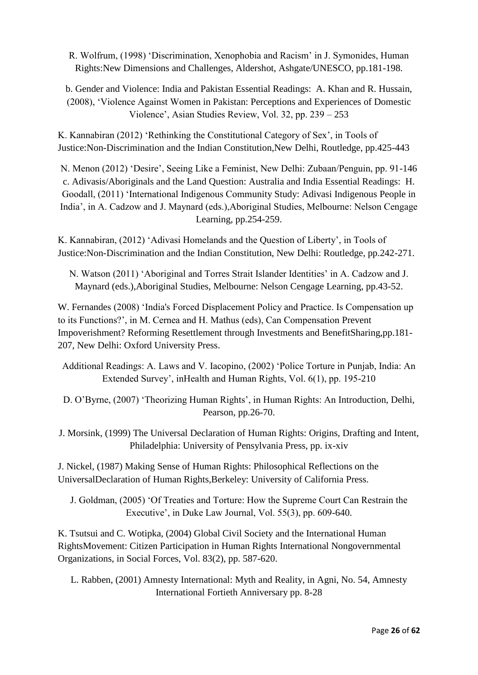R. Wolfrum, (1998) 'Discrimination, Xenophobia and Racism' in J. Symonides, Human Rights:New Dimensions and Challenges, Aldershot, Ashgate/UNESCO, pp.181-198.

b. Gender and Violence: India and Pakistan Essential Readings: A. Khan and R. Hussain, (2008), 'Violence Against Women in Pakistan: Perceptions and Experiences of Domestic Violence', Asian Studies Review, Vol. 32, pp. 239 – 253

K. Kannabiran (2012) 'Rethinking the Constitutional Category of Sex', in Tools of Justice:Non-Discrimination and the Indian Constitution,New Delhi, Routledge, pp.425-443

N. Menon (2012) 'Desire', Seeing Like a Feminist, New Delhi: Zubaan/Penguin, pp. 91-146 c. Adivasis/Aboriginals and the Land Question: Australia and India Essential Readings: H. Goodall, (2011) 'International Indigenous Community Study: Adivasi Indigenous People in India', in A. Cadzow and J. Maynard (eds.),Aboriginal Studies, Melbourne: Nelson Cengage Learning, pp.254-259.

K. Kannabiran, (2012) 'Adivasi Homelands and the Question of Liberty', in Tools of Justice:Non-Discrimination and the Indian Constitution, New Delhi: Routledge, pp.242-271.

N. Watson (2011) 'Aboriginal and Torres Strait Islander Identities' in A. Cadzow and J. Maynard (eds.),Aboriginal Studies, Melbourne: Nelson Cengage Learning, pp.43-52.

W. Fernandes (2008) 'India's Forced Displacement Policy and Practice. Is Compensation up to its Functions?', in M. Cernea and H. Mathus (eds), Can Compensation Prevent Impoverishment? Reforming Resettlement through Investments and BenefitSharing,pp.181- 207, New Delhi: Oxford University Press.

- Additional Readings: A. Laws and V. Iacopino, (2002) 'Police Torture in Punjab, India: An Extended Survey', inHealth and Human Rights, Vol. 6(1), pp. 195-210
- D. O'Byrne, (2007) 'Theorizing Human Rights', in Human Rights: An Introduction, Delhi, Pearson, pp.26-70.

J. Morsink, (1999) The Universal Declaration of Human Rights: Origins, Drafting and Intent, Philadelphia: University of Pensylvania Press, pp. ix-xiv

J. Nickel, (1987) Making Sense of Human Rights: Philosophical Reflections on the UniversalDeclaration of Human Rights,Berkeley: University of California Press.

J. Goldman, (2005) 'Of Treaties and Torture: How the Supreme Court Can Restrain the Executive', in Duke Law Journal, Vol. 55(3), pp. 609-640.

K. Tsutsui and C. Wotipka, (2004) Global Civil Society and the International Human RightsMovement: Citizen Participation in Human Rights International Nongovernmental Organizations, in Social Forces, Vol. 83(2), pp. 587-620.

L. Rabben, (2001) Amnesty International: Myth and Reality, in Agni, No. 54, Amnesty International Fortieth Anniversary pp. 8-28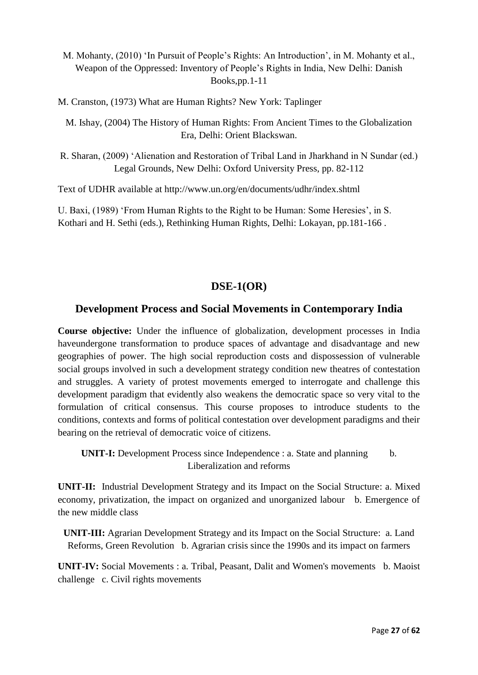- M. Mohanty, (2010) 'In Pursuit of People's Rights: An Introduction', in M. Mohanty et al., Weapon of the Oppressed: Inventory of People's Rights in India, New Delhi: Danish Books,pp.1-11
- M. Cranston, (1973) What are Human Rights? New York: Taplinger
	- M. Ishay, (2004) The History of Human Rights: From Ancient Times to the Globalization Era, Delhi: Orient Blackswan.
- R. Sharan, (2009) 'Alienation and Restoration of Tribal Land in Jharkhand in N Sundar (ed.) Legal Grounds, New Delhi: Oxford University Press, pp. 82-112

Text of UDHR available at http://www.un.org/en/documents/udhr/index.shtml

U. Baxi, (1989) 'From Human Rights to the Right to be Human: Some Heresies', in S. Kothari and H. Sethi (eds.), Rethinking Human Rights, Delhi: Lokayan, pp.181-166 .

# **DSE-1(OR)**

### **Development Process and Social Movements in Contemporary India**

**Course objective:** Under the influence of globalization, development processes in India haveundergone transformation to produce spaces of advantage and disadvantage and new geographies of power. The high social reproduction costs and dispossession of vulnerable social groups involved in such a development strategy condition new theatres of contestation and struggles. A variety of protest movements emerged to interrogate and challenge this development paradigm that evidently also weakens the democratic space so very vital to the formulation of critical consensus. This course proposes to introduce students to the conditions, contexts and forms of political contestation over development paradigms and their bearing on the retrieval of democratic voice of citizens.

**UNIT-I:** Development Process since Independence : a. State and planning b. Liberalization and reforms

**UNIT-II:** Industrial Development Strategy and its Impact on the Social Structure: a. Mixed economy, privatization, the impact on organized and unorganized labour b. Emergence of the new middle class

**UNIT-III:** Agrarian Development Strategy and its Impact on the Social Structure: a. Land Reforms, Green Revolution b. Agrarian crisis since the 1990s and its impact on farmers

**UNIT-IV:** Social Movements : a. Tribal, Peasant, Dalit and Women's movements b. Maoist challenge c. Civil rights movements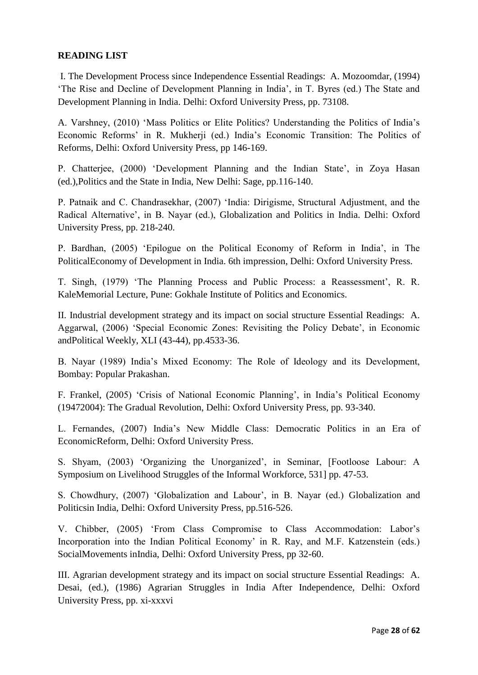### **READING LIST**

I. The Development Process since Independence Essential Readings: A. Mozoomdar, (1994) 'The Rise and Decline of Development Planning in India', in T. Byres (ed.) The State and Development Planning in India. Delhi: Oxford University Press, pp. 73108.

A. Varshney, (2010) 'Mass Politics or Elite Politics? Understanding the Politics of India's Economic Reforms' in R. Mukherji (ed.) India's Economic Transition: The Politics of Reforms, Delhi: Oxford University Press, pp 146-169.

P. Chatterjee, (2000) 'Development Planning and the Indian State', in Zoya Hasan (ed.),Politics and the State in India, New Delhi: Sage, pp.116-140.

P. Patnaik and C. Chandrasekhar, (2007) 'India: Dirigisme, Structural Adjustment, and the Radical Alternative', in B. Nayar (ed.), Globalization and Politics in India. Delhi: Oxford University Press, pp. 218-240.

P. Bardhan, (2005) 'Epilogue on the Political Economy of Reform in India', in The PoliticalEconomy of Development in India. 6th impression, Delhi: Oxford University Press.

T. Singh, (1979) 'The Planning Process and Public Process: a Reassessment', R. R. KaleMemorial Lecture, Pune: Gokhale Institute of Politics and Economics.

II. Industrial development strategy and its impact on social structure Essential Readings: A. Aggarwal, (2006) 'Special Economic Zones: Revisiting the Policy Debate', in Economic andPolitical Weekly, XLI (43-44), pp.4533-36.

B. Nayar (1989) India's Mixed Economy: The Role of Ideology and its Development, Bombay: Popular Prakashan.

F. Frankel, (2005) 'Crisis of National Economic Planning', in India's Political Economy (19472004): The Gradual Revolution, Delhi: Oxford University Press, pp. 93-340.

L. Fernandes, (2007) India's New Middle Class: Democratic Politics in an Era of EconomicReform, Delhi: Oxford University Press.

S. Shyam, (2003) 'Organizing the Unorganized', in Seminar, [Footloose Labour: A Symposium on Livelihood Struggles of the Informal Workforce, 531] pp. 47-53.

S. Chowdhury, (2007) 'Globalization and Labour', in B. Nayar (ed.) Globalization and Politicsin India, Delhi: Oxford University Press, pp.516-526.

V. Chibber, (2005) 'From Class Compromise to Class Accommodation: Labor's Incorporation into the Indian Political Economy' in R. Ray, and M.F. Katzenstein (eds.) SocialMovements inIndia, Delhi: Oxford University Press, pp 32-60.

III. Agrarian development strategy and its impact on social structure Essential Readings: A. Desai, (ed.), (1986) Agrarian Struggles in India After Independence, Delhi: Oxford University Press, pp. xi-xxxvi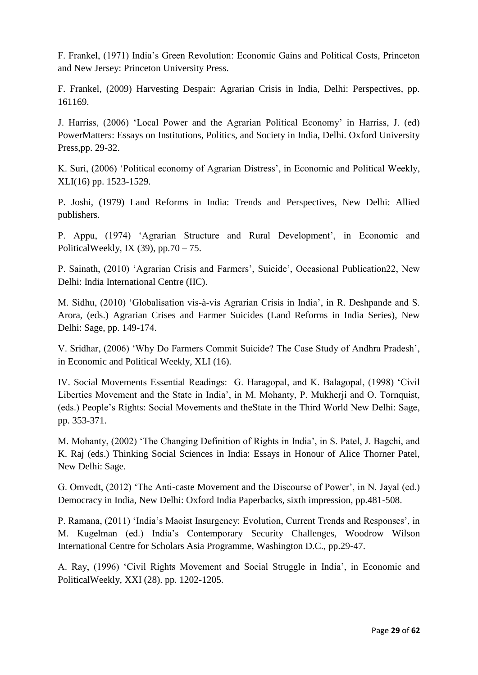F. Frankel, (1971) India's Green Revolution: Economic Gains and Political Costs, Princeton and New Jersey: Princeton University Press.

F. Frankel, (2009) Harvesting Despair: Agrarian Crisis in India, Delhi: Perspectives, pp. 161169.

J. Harriss, (2006) 'Local Power and the Agrarian Political Economy' in Harriss, J. (ed) PowerMatters: Essays on Institutions, Politics, and Society in India, Delhi. Oxford University Press,pp. 29-32.

K. Suri, (2006) 'Political economy of Agrarian Distress', in Economic and Political Weekly, XLI(16) pp. 1523-1529.

P. Joshi, (1979) Land Reforms in India: Trends and Perspectives, New Delhi: Allied publishers.

P. Appu, (1974) 'Agrarian Structure and Rural Development', in Economic and PoliticalWeekly, IX (39),  $pp.70 - 75$ .

P. Sainath, (2010) 'Agrarian Crisis and Farmers', Suicide', Occasional Publication22, New Delhi: India International Centre (IIC).

M. Sidhu, (2010) 'Globalisation vis-à-vis Agrarian Crisis in India', in R. Deshpande and S. Arora, (eds.) Agrarian Crises and Farmer Suicides (Land Reforms in India Series), New Delhi: Sage, pp. 149-174.

V. Sridhar, (2006) 'Why Do Farmers Commit Suicide? The Case Study of Andhra Pradesh', in Economic and Political Weekly, XLI (16).

IV. Social Movements Essential Readings: G. Haragopal, and K. Balagopal, (1998) 'Civil Liberties Movement and the State in India', in M. Mohanty, P. Mukherji and O. Tornquist, (eds.) People's Rights: Social Movements and theState in the Third World New Delhi: Sage, pp. 353-371.

M. Mohanty, (2002) 'The Changing Definition of Rights in India', in S. Patel, J. Bagchi, and K. Raj (eds.) Thinking Social Sciences in India: Essays in Honour of Alice Thorner Patel, New Delhi: Sage.

G. Omvedt, (2012) 'The Anti-caste Movement and the Discourse of Power', in N. Jayal (ed.) Democracy in India, New Delhi: Oxford India Paperbacks, sixth impression, pp.481-508.

P. Ramana, (2011) 'India's Maoist Insurgency: Evolution, Current Trends and Responses', in M. Kugelman (ed.) India's Contemporary Security Challenges, Woodrow Wilson International Centre for Scholars Asia Programme, Washington D.C., pp.29-47.

A. Ray, (1996) 'Civil Rights Movement and Social Struggle in India', in Economic and PoliticalWeekly, XXI (28). pp. 1202-1205.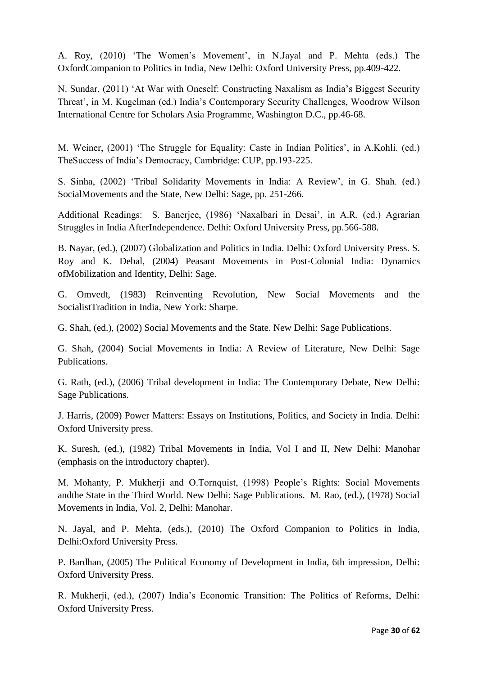A. Roy, (2010) 'The Women's Movement', in N.Jayal and P. Mehta (eds.) The OxfordCompanion to Politics in India, New Delhi: Oxford University Press, pp.409-422.

N. Sundar, (2011) 'At War with Oneself: Constructing Naxalism as India's Biggest Security Threat', in M. Kugelman (ed.) India's Contemporary Security Challenges, Woodrow Wilson International Centre for Scholars Asia Programme, Washington D.C., pp.46-68.

M. Weiner, (2001) 'The Struggle for Equality: Caste in Indian Politics', in A.Kohli. (ed.) TheSuccess of India's Democracy, Cambridge: CUP, pp.193-225.

S. Sinha, (2002) 'Tribal Solidarity Movements in India: A Review', in G. Shah. (ed.) SocialMovements and the State, New Delhi: Sage, pp. 251-266.

Additional Readings: S. Banerjee, (1986) 'Naxalbari in Desai', in A.R. (ed.) Agrarian Struggles in India AfterIndependence. Delhi: Oxford University Press, pp.566-588.

B. Nayar, (ed.), (2007) Globalization and Politics in India. Delhi: Oxford University Press. S. Roy and K. Debal, (2004) Peasant Movements in Post-Colonial India: Dynamics ofMobilization and Identity, Delhi: Sage.

G. Omvedt, (1983) Reinventing Revolution, New Social Movements and the SocialistTradition in India, New York: Sharpe.

G. Shah, (ed.), (2002) Social Movements and the State. New Delhi: Sage Publications.

G. Shah, (2004) Social Movements in India: A Review of Literature, New Delhi: Sage Publications.

G. Rath, (ed.), (2006) Tribal development in India: The Contemporary Debate, New Delhi: Sage Publications.

J. Harris, (2009) Power Matters: Essays on Institutions, Politics, and Society in India. Delhi: Oxford University press.

K. Suresh, (ed.), (1982) Tribal Movements in India, Vol I and II, New Delhi: Manohar (emphasis on the introductory chapter).

M. Mohanty, P. Mukherji and O.Tornquist, (1998) People's Rights: Social Movements andthe State in the Third World. New Delhi: Sage Publications. M. Rao, (ed.), (1978) Social Movements in India, Vol. 2, Delhi: Manohar.

N. Jayal, and P. Mehta, (eds.), (2010) The Oxford Companion to Politics in India, Delhi:Oxford University Press.

P. Bardhan, (2005) The Political Economy of Development in India, 6th impression, Delhi: Oxford University Press.

R. Mukherji, (ed.), (2007) India's Economic Transition: The Politics of Reforms, Delhi: Oxford University Press.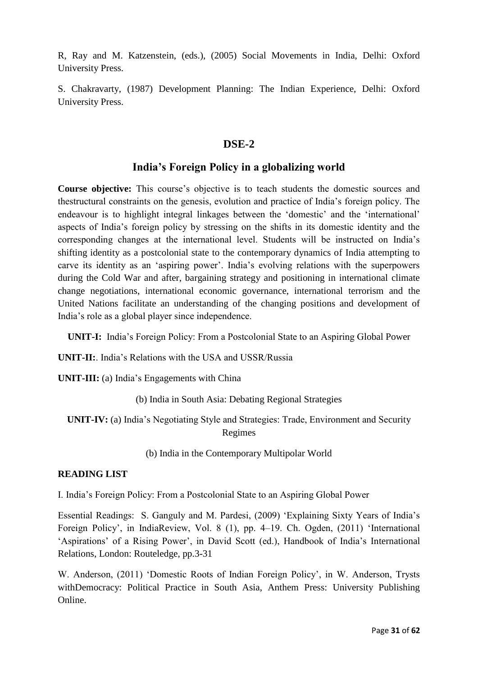R, Ray and M. Katzenstein, (eds.), (2005) Social Movements in India, Delhi: Oxford University Press.

S. Chakravarty, (1987) Development Planning: The Indian Experience, Delhi: Oxford University Press.

### **DSE-2**

### **India's Foreign Policy in a globalizing world**

**Course objective:** This course's objective is to teach students the domestic sources and thestructural constraints on the genesis, evolution and practice of India's foreign policy. The endeavour is to highlight integral linkages between the 'domestic' and the 'international' aspects of India's foreign policy by stressing on the shifts in its domestic identity and the corresponding changes at the international level. Students will be instructed on India's shifting identity as a postcolonial state to the contemporary dynamics of India attempting to carve its identity as an 'aspiring power'. India's evolving relations with the superpowers during the Cold War and after, bargaining strategy and positioning in international climate change negotiations, international economic governance, international terrorism and the United Nations facilitate an understanding of the changing positions and development of India's role as a global player since independence.

**UNIT-I:** India's Foreign Policy: From a Postcolonial State to an Aspiring Global Power

**UNIT-II:**. India's Relations with the USA and USSR/Russia

**UNIT-III:** (a) India's Engagements with China

(b) India in South Asia: Debating Regional Strategies

**UNIT-IV:** (a) India's Negotiating Style and Strategies: Trade, Environment and Security Regimes

(b) India in the Contemporary Multipolar World

#### **READING LIST**

I. India's Foreign Policy: From a Postcolonial State to an Aspiring Global Power

Essential Readings: S. Ganguly and M. Pardesi, (2009) 'Explaining Sixty Years of India's Foreign Policy', in IndiaReview, Vol. 8 (1), pp. 4–19. Ch. Ogden, (2011) 'International 'Aspirations' of a Rising Power', in David Scott (ed.), Handbook of India's International Relations, London: Routeledge, pp.3-31

W. Anderson, (2011) 'Domestic Roots of Indian Foreign Policy', in W. Anderson, Trysts withDemocracy: Political Practice in South Asia, Anthem Press: University Publishing Online.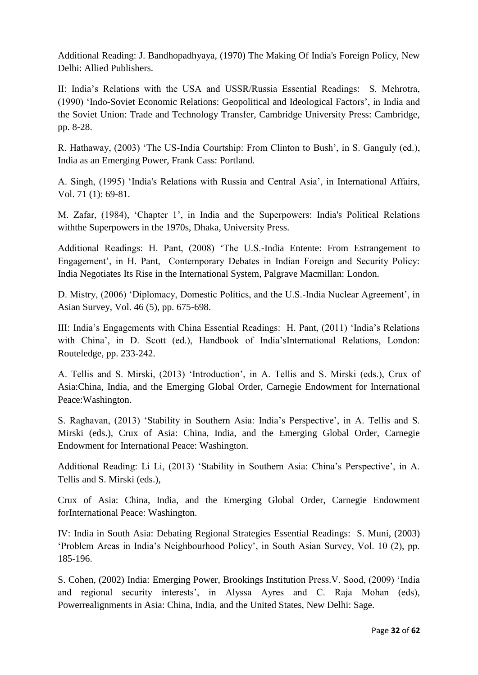Additional Reading: J. Bandhopadhyaya, (1970) The Making Of India's Foreign Policy, New Delhi: Allied Publishers.

II: India's Relations with the USA and USSR/Russia Essential Readings: S. Mehrotra, (1990) 'Indo-Soviet Economic Relations: Geopolitical and Ideological Factors', in India and the Soviet Union: Trade and Technology Transfer, Cambridge University Press: Cambridge, pp. 8-28.

R. Hathaway, (2003) 'The US-India Courtship: From Clinton to Bush', in S. Ganguly (ed.), India as an Emerging Power, Frank Cass: Portland.

A. Singh, (1995) 'India's Relations with Russia and Central Asia', in International Affairs, Vol. 71 (1): 69-81.

M. Zafar, (1984), 'Chapter 1', in India and the Superpowers: India's Political Relations withthe Superpowers in the 1970s, Dhaka, University Press.

Additional Readings: H. Pant, (2008) 'The U.S.-India Entente: From Estrangement to Engagement', in H. Pant, Contemporary Debates in Indian Foreign and Security Policy: India Negotiates Its Rise in the International System, Palgrave Macmillan: London.

D. Mistry, (2006) 'Diplomacy, Domestic Politics, and the U.S.-India Nuclear Agreement', in Asian Survey, Vol. 46 (5), pp. 675-698.

III: India's Engagements with China Essential Readings: H. Pant, (2011) 'India's Relations with China', in D. Scott (ed.), Handbook of India'sInternational Relations, London: Routeledge, pp. 233-242.

A. Tellis and S. Mirski, (2013) 'Introduction', in A. Tellis and S. Mirski (eds.), Crux of Asia:China, India, and the Emerging Global Order, Carnegie Endowment for International Peace:Washington.

S. Raghavan, (2013) 'Stability in Southern Asia: India's Perspective', in A. Tellis and S. Mirski (eds.), Crux of Asia: China, India, and the Emerging Global Order, Carnegie Endowment for International Peace: Washington.

Additional Reading: Li Li, (2013) 'Stability in Southern Asia: China's Perspective', in A. Tellis and S. Mirski (eds.),

Crux of Asia: China, India, and the Emerging Global Order, Carnegie Endowment forInternational Peace: Washington.

IV: India in South Asia: Debating Regional Strategies Essential Readings: S. Muni, (2003) 'Problem Areas in India's Neighbourhood Policy', in South Asian Survey, Vol. 10 (2), pp. 185-196.

S. Cohen, (2002) India: Emerging Power, Brookings Institution Press.V. Sood, (2009) 'India and regional security interests', in Alyssa Ayres and C. Raja Mohan (eds), Powerrealignments in Asia: China, India, and the United States, New Delhi: Sage.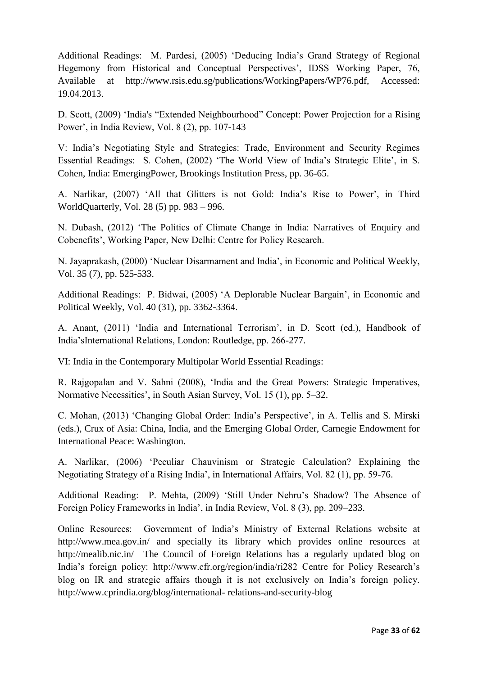Additional Readings: M. Pardesi, (2005) 'Deducing India's Grand Strategy of Regional Hegemony from Historical and Conceptual Perspectives', IDSS Working Paper, 76, Available at http://www.rsis.edu.sg/publications/WorkingPapers/WP76.pdf, Accessed: 19.04.2013.

D. Scott, (2009) 'India's "Extended Neighbourhood" Concept: Power Projection for a Rising Power', in India Review, Vol. 8 (2), pp. 107-143

V: India's Negotiating Style and Strategies: Trade, Environment and Security Regimes Essential Readings: S. Cohen, (2002) 'The World View of India's Strategic Elite', in S. Cohen, India: EmergingPower, Brookings Institution Press, pp. 36-65.

A. Narlikar, (2007) 'All that Glitters is not Gold: India's Rise to Power', in Third WorldQuarterly, Vol. 28 (5) pp. 983 – 996.

N. Dubash, (2012) 'The Politics of Climate Change in India: Narratives of Enquiry and Cobenefits', Working Paper, New Delhi: Centre for Policy Research.

N. Jayaprakash, (2000) 'Nuclear Disarmament and India', in Economic and Political Weekly, Vol. 35 (7), pp. 525-533.

Additional Readings: P. Bidwai, (2005) 'A Deplorable Nuclear Bargain', in Economic and Political Weekly, Vol. 40 (31), pp. 3362-3364.

A. Anant, (2011) 'India and International Terrorism', in D. Scott (ed.), Handbook of India'sInternational Relations, London: Routledge, pp. 266-277.

VI: India in the Contemporary Multipolar World Essential Readings:

R. Rajgopalan and V. Sahni (2008), 'India and the Great Powers: Strategic Imperatives, Normative Necessities', in South Asian Survey, Vol. 15 (1), pp. 5–32.

C. Mohan, (2013) 'Changing Global Order: India's Perspective', in A. Tellis and S. Mirski (eds.), Crux of Asia: China, India, and the Emerging Global Order, Carnegie Endowment for International Peace: Washington.

A. Narlikar, (2006) 'Peculiar Chauvinism or Strategic Calculation? Explaining the Negotiating Strategy of a Rising India', in International Affairs, Vol. 82 (1), pp. 59-76.

Additional Reading: P. Mehta, (2009) 'Still Under Nehru's Shadow? The Absence of Foreign Policy Frameworks in India', in India Review, Vol. 8 (3), pp. 209–233.

Online Resources: Government of India's Ministry of External Relations website at http://www.mea.gov.in/ and specially its library which provides online resources at http://mealib.nic.in/ The Council of Foreign Relations has a regularly updated blog on India's foreign policy: http://www.cfr.org/region/india/ri282 Centre for Policy Research's blog on IR and strategic affairs though it is not exclusively on India's foreign policy. http://www.cprindia.org/blog/international- relations-and-security-blog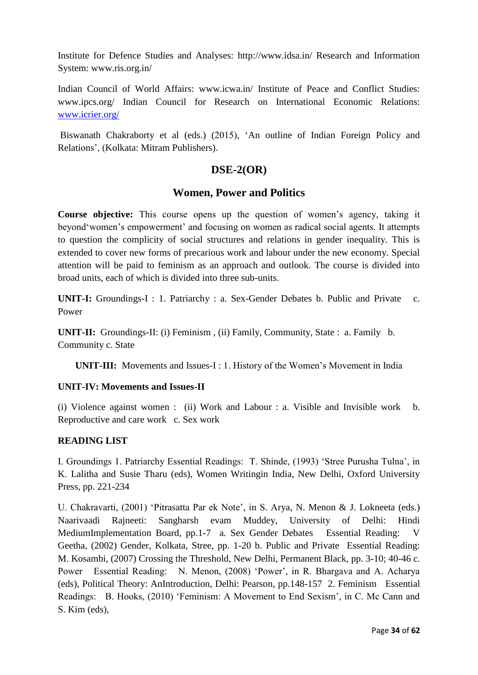Institute for Defence Studies and Analyses: http://www.idsa.in/ Research and Information System: www.ris.org.in/

Indian Council of World Affairs: www.icwa.in/ Institute of Peace and Conflict Studies: www.ipcs.org/ Indian Council for Research on International Economic Relations: [www.icrier.org/](http://www.icrier.org/)

Biswanath Chakraborty et al (eds.) (2015), 'An outline of Indian Foreign Policy and Relations', (Kolkata: Mitram Publishers).

### **DSE-2(OR)**

### **Women, Power and Politics**

**Course objective:** This course opens up the question of women's agency, taking it beyond'women's empowerment' and focusing on women as radical social agents. It attempts to question the complicity of social structures and relations in gender inequality. This is extended to cover new forms of precarious work and labour under the new economy. Special attention will be paid to feminism as an approach and outlook. The course is divided into broad units, each of which is divided into three sub-units.

**UNIT-I:** Groundings-I : 1. Patriarchy : a. Sex-Gender Debates b. Public and Private c. Power

**UNIT-II:** Groundings-II: (i) Feminism , (ii) Family, Community, State : a. Family b. Community c. State

**UNIT-III:** Movements and Issues-I : 1. History of the Women's Movement in India

### **UNIT-IV: Movements and Issues-II**

(i) Violence against women : (ii) Work and Labour : a. Visible and Invisible work b. Reproductive and care work c. Sex work

### **READING LIST**

I. Groundings 1. Patriarchy Essential Readings: T. Shinde, (1993) 'Stree Purusha Tulna', in K. Lalitha and Susie Tharu (eds), Women Writingin India, New Delhi, Oxford University Press, pp. 221-234

U. Chakravarti, (2001) 'Pitrasatta Par ek Note', in S. Arya, N. Menon & J. Lokneeta (eds.) Naarivaadi Rajneeti: Sangharsh evam Muddey, University of Delhi: Hindi MediumImplementation Board, pp.1-7 a. Sex Gender Debates Essential Reading: V Geetha, (2002) Gender, Kolkata, Stree, pp. 1-20 b. Public and Private Essential Reading: M. Kosambi, (2007) Crossing the Threshold, New Delhi, Permanent Black, pp. 3-10; 40-46 c. Power Essential Reading: N. Menon, (2008) 'Power', in R. Bhargava and A. Acharya (eds), Political Theory: AnIntroduction, Delhi: Pearson, pp.148-157 2. Feminism Essential Readings: B. Hooks, (2010) 'Feminism: A Movement to End Sexism', in C. Mc Cann and S. Kim (eds),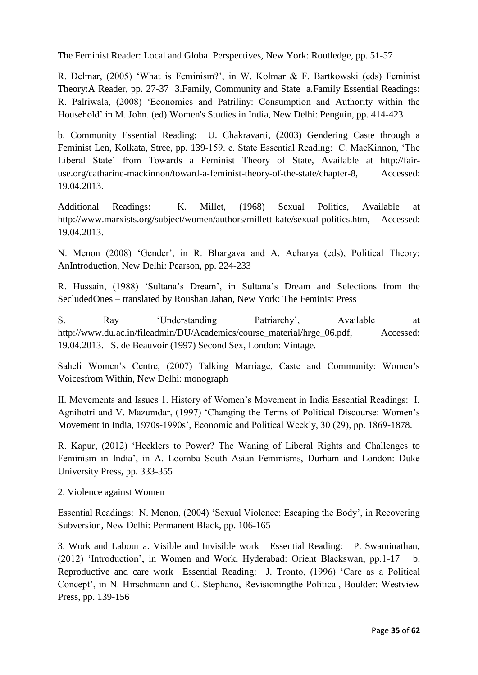The Feminist Reader: Local and Global Perspectives, New York: Routledge, pp. 51-57

R. Delmar, (2005) 'What is Feminism?', in W. Kolmar & F. Bartkowski (eds) Feminist Theory:A Reader, pp. 27-37 3.Family, Community and State a.Family Essential Readings: R. Palriwala, (2008) 'Economics and Patriliny: Consumption and Authority within the Household' in M. John. (ed) Women's Studies in India, New Delhi: Penguin, pp. 414-423

b. Community Essential Reading: U. Chakravarti, (2003) Gendering Caste through a Feminist Len, Kolkata, Stree, pp. 139-159. c. State Essential Reading: C. MacKinnon, 'The Liberal State' from Towards a Feminist Theory of State, Available at http://fairuse.org/catharine-mackinnon/toward-a-feminist-theory-of-the-state/chapter-8, Accessed: 19.04.2013.

Additional Readings: K. Millet, (1968) Sexual Politics, Available at http://www.marxists.org/subject/women/authors/millett-kate/sexual-politics.htm, Accessed: 19.04.2013.

N. Menon (2008) 'Gender', in R. Bhargava and A. Acharya (eds), Political Theory: AnIntroduction, New Delhi: Pearson, pp. 224-233

R. Hussain, (1988) 'Sultana's Dream', in Sultana's Dream and Selections from the SecludedOnes – translated by Roushan Jahan, New York: The Feminist Press

S. Ray 'Understanding Patriarchy', Available at http://www.du.ac.in/fileadmin/DU/Academics/course\_material/hrge\_06.pdf, Accessed: 19.04.2013. S. de Beauvoir (1997) Second Sex, London: Vintage.

Saheli Women's Centre, (2007) Talking Marriage, Caste and Community: Women's Voicesfrom Within, New Delhi: monograph

II. Movements and Issues 1. History of Women's Movement in India Essential Readings: I. Agnihotri and V. Mazumdar, (1997) 'Changing the Terms of Political Discourse: Women's Movement in India, 1970s-1990s', Economic and Political Weekly, 30 (29), pp. 1869-1878.

R. Kapur, (2012) 'Hecklers to Power? The Waning of Liberal Rights and Challenges to Feminism in India', in A. Loomba South Asian Feminisms, Durham and London: Duke University Press, pp. 333-355

2. Violence against Women

Essential Readings: N. Menon, (2004) 'Sexual Violence: Escaping the Body', in Recovering Subversion, New Delhi: Permanent Black, pp. 106-165

3. Work and Labour a. Visible and Invisible work Essential Reading: P. Swaminathan, (2012) 'Introduction', in Women and Work, Hyderabad: Orient Blackswan, pp.1-17 b. Reproductive and care work Essential Reading: J. Tronto, (1996) 'Care as a Political Concept', in N. Hirschmann and C. Stephano, Revisioningthe Political, Boulder: Westview Press, pp. 139-156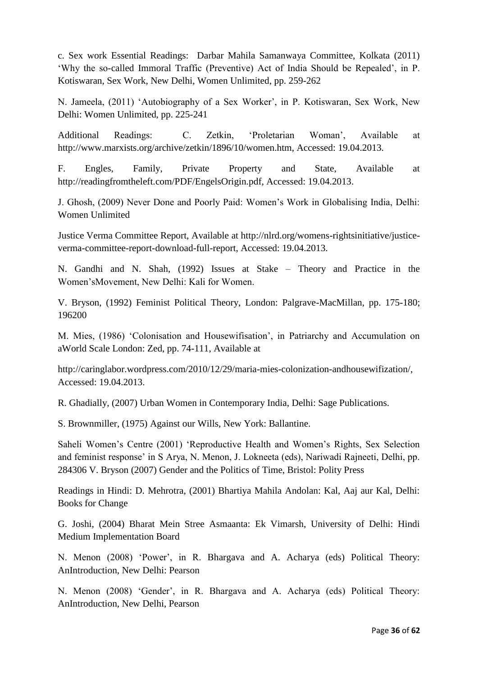c. Sex work Essential Readings: Darbar Mahila Samanwaya Committee, Kolkata (2011) 'Why the so-called Immoral Traffic (Preventive) Act of India Should be Repealed', in P. Kotiswaran, Sex Work, New Delhi, Women Unlimited, pp. 259-262

N. Jameela, (2011) 'Autobiography of a Sex Worker', in P. Kotiswaran, Sex Work, New Delhi: Women Unlimited, pp. 225-241

Additional Readings: C. Zetkin, 'Proletarian Woman', Available at http://www.marxists.org/archive/zetkin/1896/10/women.htm, Accessed: 19.04.2013.

F. Engles, Family, Private Property and State, Available at http://readingfromtheleft.com/PDF/EngelsOrigin.pdf, Accessed: 19.04.2013.

J. Ghosh, (2009) Never Done and Poorly Paid: Women's Work in Globalising India, Delhi: Women Unlimited

Justice Verma Committee Report, Available at http://nlrd.org/womens-rightsinitiative/justiceverma-committee-report-download-full-report, Accessed: 19.04.2013.

N. Gandhi and N. Shah, (1992) Issues at Stake – Theory and Practice in the Women'sMovement, New Delhi: Kali for Women.

V. Bryson, (1992) Feminist Political Theory, London: Palgrave-MacMillan, pp. 175-180; 196200

M. Mies, (1986) 'Colonisation and Housewifisation', in Patriarchy and Accumulation on aWorld Scale London: Zed, pp. 74-111, Available at

http://caringlabor.wordpress.com/2010/12/29/maria-mies-colonization-andhousewifization/, Accessed: 19.04.2013.

R. Ghadially, (2007) Urban Women in Contemporary India, Delhi: Sage Publications.

S. Brownmiller, (1975) Against our Wills, New York: Ballantine.

Saheli Women's Centre (2001) 'Reproductive Health and Women's Rights, Sex Selection and feminist response' in S Arya, N. Menon, J. Lokneeta (eds), Nariwadi Rajneeti, Delhi, pp. 284306 V. Bryson (2007) Gender and the Politics of Time, Bristol: Polity Press

Readings in Hindi: D. Mehrotra, (2001) Bhartiya Mahila Andolan: Kal, Aaj aur Kal, Delhi: Books for Change

G. Joshi, (2004) Bharat Mein Stree Asmaanta: Ek Vimarsh, University of Delhi: Hindi Medium Implementation Board

N. Menon (2008) 'Power', in R. Bhargava and A. Acharya (eds) Political Theory: AnIntroduction, New Delhi: Pearson

N. Menon (2008) 'Gender', in R. Bhargava and A. Acharya (eds) Political Theory: AnIntroduction, New Delhi, Pearson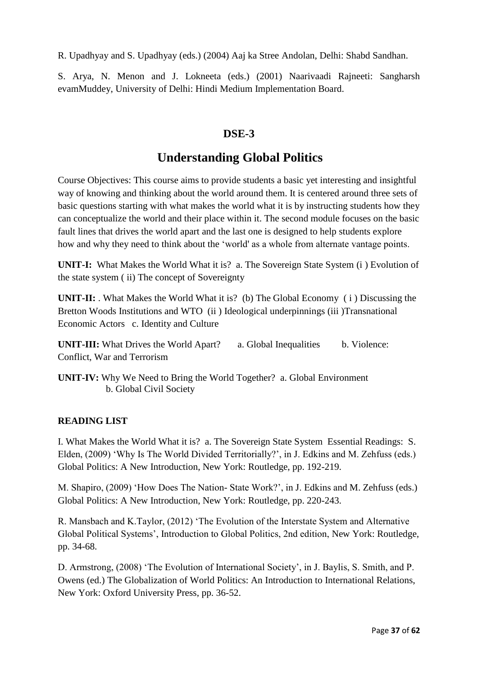R. Upadhyay and S. Upadhyay (eds.) (2004) Aaj ka Stree Andolan, Delhi: Shabd Sandhan.

S. Arya, N. Menon and J. Lokneeta (eds.) (2001) Naarivaadi Rajneeti: Sangharsh evamMuddey, University of Delhi: Hindi Medium Implementation Board.

# **DSE-3**

# **Understanding Global Politics**

Course Objectives: This course aims to provide students a basic yet interesting and insightful way of knowing and thinking about the world around them. It is centered around three sets of basic questions starting with what makes the world what it is by instructing students how they can conceptualize the world and their place within it. The second module focuses on the basic fault lines that drives the world apart and the last one is designed to help students explore how and why they need to think about the 'world' as a whole from alternate vantage points.

**UNIT-I:** What Makes the World What it is? a. The Sovereign State System (i ) Evolution of the state system ( ii) The concept of Sovereignty

**UNIT-II:** . What Makes the World What it is? (b) The Global Economy ( i ) Discussing the Bretton Woods Institutions and WTO (ii ) Ideological underpinnings (iii )Transnational Economic Actors c. Identity and Culture

**UNIT-III:** What Drives the World Apart? a. Global Inequalities b. Violence: Conflict, War and Terrorism

**UNIT-IV:** Why We Need to Bring the World Together? a. Global Environment b. Global Civil Society

### **READING LIST**

I. What Makes the World What it is? a. The Sovereign State System Essential Readings: S. Elden, (2009) 'Why Is The World Divided Territorially?', in J. Edkins and M. Zehfuss (eds.) Global Politics: A New Introduction, New York: Routledge, pp. 192-219.

M. Shapiro, (2009) 'How Does The Nation- State Work?', in J. Edkins and M. Zehfuss (eds.) Global Politics: A New Introduction, New York: Routledge, pp. 220-243.

R. Mansbach and K.Taylor, (2012) 'The Evolution of the Interstate System and Alternative Global Political Systems', Introduction to Global Politics, 2nd edition, New York: Routledge, pp. 34-68.

D. Armstrong, (2008) 'The Evolution of International Society', in J. Baylis, S. Smith, and P. Owens (ed.) The Globalization of World Politics: An Introduction to International Relations, New York: Oxford University Press, pp. 36-52.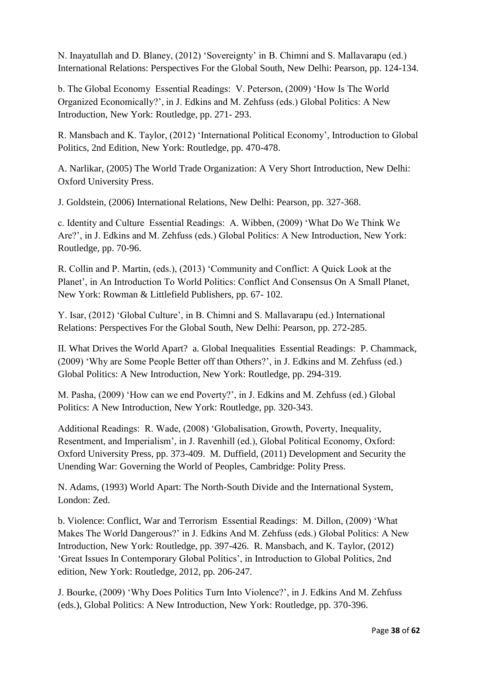N. Inayatullah and D. Blaney, (2012) 'Sovereignty' in B. Chimni and S. Mallavarapu (ed.) International Relations: Perspectives For the Global South, New Delhi: Pearson, pp. 124-134.

b. The Global Economy Essential Readings: V. Peterson, (2009) 'How Is The World Organized Economically?', in J. Edkins and M. Zehfuss (eds.) Global Politics: A New Introduction, New York: Routledge, pp. 271- 293.

R. Mansbach and K. Taylor, (2012) 'International Political Economy', Introduction to Global Politics, 2nd Edition, New York: Routledge, pp. 470-478.

A. Narlikar, (2005) The World Trade Organization: A Very Short Introduction, New Delhi: Oxford University Press.

J. Goldstein, (2006) International Relations, New Delhi: Pearson, pp. 327-368.

c. Identity and Culture Essential Readings: A. Wibben, (2009) 'What Do We Think We Are?', in J. Edkins and M. Zehfuss (eds.) Global Politics: A New Introduction, New York: Routledge, pp. 70-96.

R. Collin and P. Martin, (eds.), (2013) 'Community and Conflict: A Quick Look at the Planet', in An Introduction To World Politics: Conflict And Consensus On A Small Planet, New York: Rowman & Littlefield Publishers, pp. 67- 102.

Y. Isar, (2012) 'Global Culture', in B. Chimni and S. Mallavarapu (ed.) International Relations: Perspectives For the Global South, New Delhi: Pearson, pp. 272-285.

II. What Drives the World Apart? a. Global Inequalities Essential Readings: P. Chammack, (2009) 'Why are Some People Better off than Others?', in J. Edkins and M. Zehfuss (ed.) Global Politics: A New Introduction, New York: Routledge, pp. 294-319.

M. Pasha, (2009) 'How can we end Poverty?', in J. Edkins and M. Zehfuss (ed.) Global Politics: A New Introduction, New York: Routledge, pp. 320-343.

Additional Readings: R. Wade, (2008) 'Globalisation, Growth, Poverty, Inequality, Resentment, and Imperialism', in J. Ravenhill (ed.), Global Political Economy, Oxford: Oxford University Press, pp. 373-409. M. Duffield, (2011) Development and Security the Unending War: Governing the World of Peoples, Cambridge: Polity Press.

N. Adams, (1993) World Apart: The North-South Divide and the International System, London: Zed.

b. Violence: Conflict, War and Terrorism Essential Readings: M. Dillon, (2009) 'What Makes The World Dangerous?' in J. Edkins And M. Zehfuss (eds.) Global Politics: A New Introduction, New York: Routledge, pp. 397-426. R. Mansbach, and K. Taylor, (2012) 'Great Issues In Contemporary Global Politics', in Introduction to Global Politics, 2nd edition, New York: Routledge, 2012, pp. 206-247.

J. Bourke, (2009) 'Why Does Politics Turn Into Violence?', in J. Edkins And M. Zehfuss (eds.), Global Politics: A New Introduction, New York: Routledge, pp. 370-396.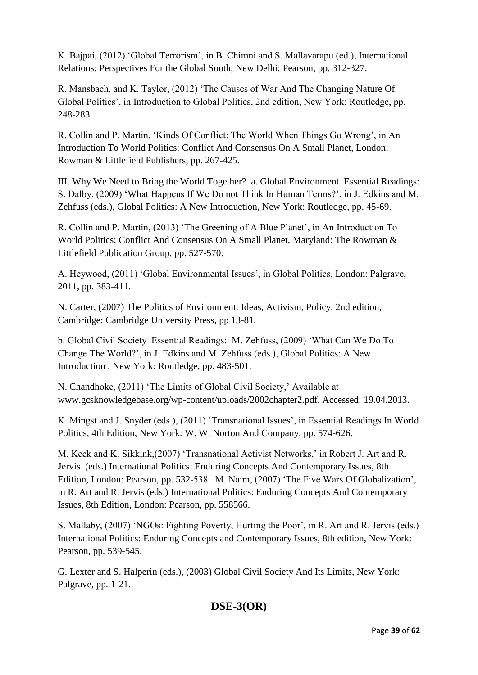K. Bajpai, (2012) 'Global Terrorism', in B. Chimni and S. Mallavarapu (ed.), International Relations: Perspectives For the Global South, New Delhi: Pearson, pp. 312-327.

R. Mansbach, and K. Taylor, (2012) 'The Causes of War And The Changing Nature Of Global Politics', in Introduction to Global Politics, 2nd edition, New York: Routledge, pp. 248-283.

R. Collin and P. Martin, 'Kinds Of Conflict: The World When Things Go Wrong', in An Introduction To World Politics: Conflict And Consensus On A Small Planet, London: Rowman & Littlefield Publishers, pp. 267-425.

III. Why We Need to Bring the World Together? a. Global Environment Essential Readings: S. Dalby, (2009) 'What Happens If We Do not Think In Human Terms?', in J. Edkins and M. Zehfuss (eds.), Global Politics: A New Introduction, New York: Routledge, pp. 45-69.

R. Collin and P. Martin, (2013) 'The Greening of A Blue Planet', in An Introduction To World Politics: Conflict And Consensus On A Small Planet, Maryland: The Rowman & Littlefield Publication Group, pp. 527-570.

A. Heywood, (2011) 'Global Environmental Issues', in Global Politics, London: Palgrave, 2011, pp. 383-411.

N. Carter, (2007) The Politics of Environment: Ideas, Activism, Policy, 2nd edition, Cambridge: Cambridge University Press, pp 13-81.

b. Global Civil Society Essential Readings: M. Zehfuss, (2009) 'What Can We Do To Change The World?', in J. Edkins and M. Zehfuss (eds.), Global Politics: A New Introduction , New York: Routledge, pp. 483-501.

N. Chandhoke, (2011) 'The Limits of Global Civil Society,' Available at www.gcsknowledgebase.org/wp-content/uploads/2002chapter2.pdf, Accessed: 19.04.2013.

K. Mingst and J. Snyder (eds.), (2011) 'Transnational Issues', in Essential Readings In World Politics, 4th Edition, New York: W. W. Norton And Company, pp. 574-626.

M. Keck and K. Sikkink,(2007) 'Transnational Activist Networks,' in Robert J. Art and R. Jervis (eds.) International Politics: Enduring Concepts And Contemporary Issues, 8th Edition, London: Pearson, pp. 532-538. M. Naim, (2007) 'The Five Wars Of Globalization', in R. Art and R. Jervis (eds.) International Politics: Enduring Concepts And Contemporary Issues, 8th Edition, London: Pearson, pp. 558566.

S. Mallaby, (2007) 'NGOs: Fighting Poverty, Hurting the Poor', in R. Art and R. Jervis (eds.) International Politics: Enduring Concepts and Contemporary Issues, 8th edition, New York: Pearson, pp. 539-545.

G. Lexter and S. Halperin (eds.), (2003) Global Civil Society And Its Limits, New York: Palgrave, pp. 1-21.

# **DSE-3(OR)**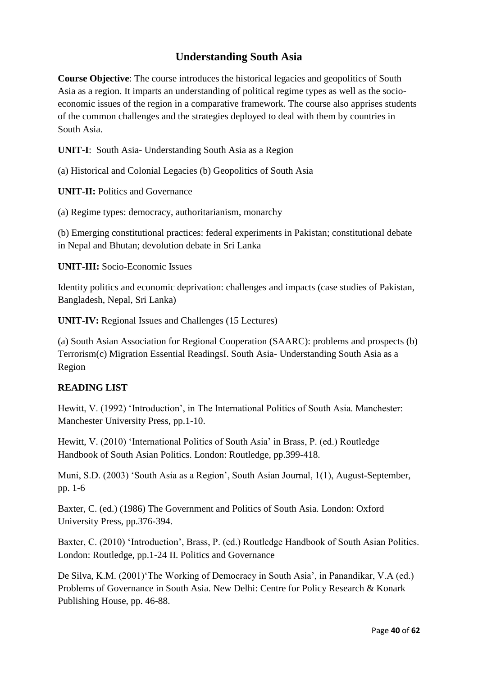# **Understanding South Asia**

**Course Objective**: The course introduces the historical legacies and geopolitics of South Asia as a region. It imparts an understanding of political regime types as well as the socioeconomic issues of the region in a comparative framework. The course also apprises students of the common challenges and the strategies deployed to deal with them by countries in South Asia.

**UNIT-I**: South Asia- Understanding South Asia as a Region

(a) Historical and Colonial Legacies (b) Geopolitics of South Asia

**UNIT-II:** Politics and Governance

(a) Regime types: democracy, authoritarianism, monarchy

(b) Emerging constitutional practices: federal experiments in Pakistan; constitutional debate in Nepal and Bhutan; devolution debate in Sri Lanka

**UNIT-III:** Socio-Economic Issues

Identity politics and economic deprivation: challenges and impacts (case studies of Pakistan, Bangladesh, Nepal, Sri Lanka)

**UNIT-IV:** Regional Issues and Challenges (15 Lectures)

(a) South Asian Association for Regional Cooperation (SAARC): problems and prospects (b) Terrorism(c) Migration Essential ReadingsI. South Asia- Understanding South Asia as a Region

### **READING LIST**

Hewitt, V. (1992) 'Introduction', in The International Politics of South Asia. Manchester: Manchester University Press, pp.1-10.

Hewitt, V. (2010) 'International Politics of South Asia' in Brass, P. (ed.) Routledge Handbook of South Asian Politics. London: Routledge, pp.399-418.

Muni, S.D. (2003) 'South Asia as a Region', South Asian Journal, 1(1), August-September, pp. 1-6

Baxter, C. (ed.) (1986) The Government and Politics of South Asia. London: Oxford University Press, pp.376-394.

Baxter, C. (2010) 'Introduction', Brass, P. (ed.) Routledge Handbook of South Asian Politics. London: Routledge, pp.1-24 II. Politics and Governance

De Silva, K.M. (2001)'The Working of Democracy in South Asia', in Panandikar, V.A (ed.) Problems of Governance in South Asia. New Delhi: Centre for Policy Research & Konark Publishing House, pp. 46-88.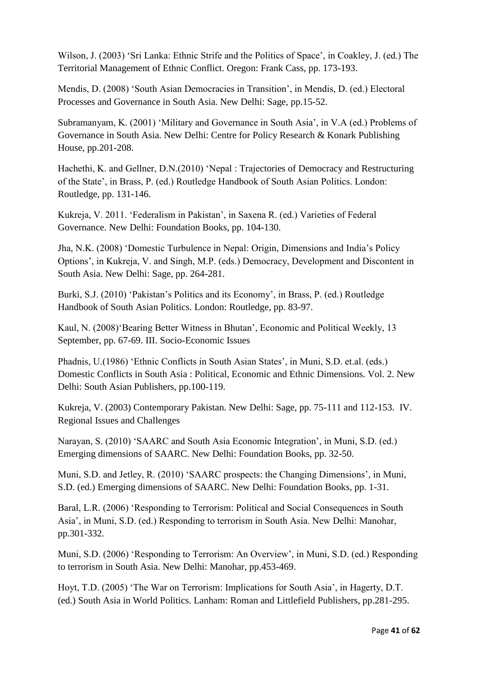Wilson, J. (2003) 'Sri Lanka: Ethnic Strife and the Politics of Space', in Coakley, J. (ed.) The Territorial Management of Ethnic Conflict. Oregon: Frank Cass, pp. 173-193.

Mendis, D. (2008) 'South Asian Democracies in Transition', in Mendis, D. (ed.) Electoral Processes and Governance in South Asia. New Delhi: Sage, pp.15-52.

Subramanyam, K. (2001) 'Military and Governance in South Asia', in V.A (ed.) Problems of Governance in South Asia. New Delhi: Centre for Policy Research & Konark Publishing House, pp.201-208.

Hachethi, K. and Gellner, D.N.(2010) 'Nepal : Trajectories of Democracy and Restructuring of the State', in Brass, P. (ed.) Routledge Handbook of South Asian Politics. London: Routledge, pp. 131-146.

Kukreja, V. 2011. 'Federalism in Pakistan', in Saxena R. (ed.) Varieties of Federal Governance. New Delhi: Foundation Books, pp. 104-130.

Jha, N.K. (2008) 'Domestic Turbulence in Nepal: Origin, Dimensions and India's Policy Options', in Kukreja, V. and Singh, M.P. (eds.) Democracy, Development and Discontent in South Asia. New Delhi: Sage, pp. 264-281.

Burki, S.J. (2010) 'Pakistan's Politics and its Economy', in Brass, P. (ed.) Routledge Handbook of South Asian Politics. London: Routledge, pp. 83-97.

Kaul, N. (2008)'Bearing Better Witness in Bhutan', Economic and Political Weekly, 13 September, pp. 67-69. III. Socio-Economic Issues

Phadnis, U.(1986) 'Ethnic Conflicts in South Asian States', in Muni, S.D. et.al. (eds.) Domestic Conflicts in South Asia : Political, Economic and Ethnic Dimensions. Vol. 2. New Delhi: South Asian Publishers, pp.100-119.

Kukreja, V. (2003) Contemporary Pakistan. New Delhi: Sage, pp. 75-111 and 112-153. IV. Regional Issues and Challenges

Narayan, S. (2010) 'SAARC and South Asia Economic Integration', in Muni, S.D. (ed.) Emerging dimensions of SAARC. New Delhi: Foundation Books, pp. 32-50.

Muni, S.D. and Jetley, R. (2010) 'SAARC prospects: the Changing Dimensions', in Muni, S.D. (ed.) Emerging dimensions of SAARC. New Delhi: Foundation Books, pp. 1-31.

Baral, L.R. (2006) 'Responding to Terrorism: Political and Social Consequences in South Asia', in Muni, S.D. (ed.) Responding to terrorism in South Asia. New Delhi: Manohar, pp.301-332.

Muni, S.D. (2006) 'Responding to Terrorism: An Overview', in Muni, S.D. (ed.) Responding to terrorism in South Asia. New Delhi: Manohar, pp.453-469.

Hoyt, T.D. (2005) 'The War on Terrorism: Implications for South Asia', in Hagerty, D.T. (ed.) South Asia in World Politics. Lanham: Roman and Littlefield Publishers, pp.281-295.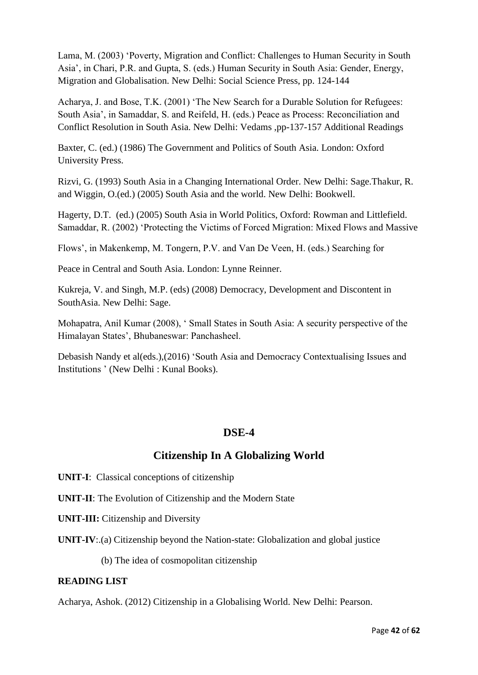Lama, M. (2003) 'Poverty, Migration and Conflict: Challenges to Human Security in South Asia', in Chari, P.R. and Gupta, S. (eds.) Human Security in South Asia: Gender, Energy, Migration and Globalisation. New Delhi: Social Science Press, pp. 124-144

Acharya, J. and Bose, T.K. (2001) 'The New Search for a Durable Solution for Refugees: South Asia', in Samaddar, S. and Reifeld, H. (eds.) Peace as Process: Reconciliation and Conflict Resolution in South Asia. New Delhi: Vedams ,pp-137-157 Additional Readings

Baxter, C. (ed.) (1986) The Government and Politics of South Asia. London: Oxford University Press.

Rizvi, G. (1993) South Asia in a Changing International Order. New Delhi: Sage.Thakur, R. and Wiggin, O.(ed.) (2005) South Asia and the world. New Delhi: Bookwell.

Hagerty, D.T. (ed.) (2005) South Asia in World Politics, Oxford: Rowman and Littlefield. Samaddar, R. (2002) 'Protecting the Victims of Forced Migration: Mixed Flows and Massive

Flows', in Makenkemp, M. Tongern, P.V. and Van De Veen, H. (eds.) Searching for

Peace in Central and South Asia. London: Lynne Reinner.

Kukreja, V. and Singh, M.P. (eds) (2008) Democracy, Development and Discontent in SouthAsia. New Delhi: Sage.

Mohapatra, Anil Kumar (2008), ' Small States in South Asia: A security perspective of the Himalayan States', Bhubaneswar: Panchasheel.

Debasish Nandy et al(eds.),(2016) 'South Asia and Democracy Contextualising Issues and Institutions ' (New Delhi : Kunal Books).

### **DSE-4**

### **Citizenship In A Globalizing World**

**UNIT-I**: Classical conceptions of citizenship

**UNIT-II**: The Evolution of Citizenship and the Modern State

**UNIT-III:** Citizenship and Diversity

**UNIT-IV**:.(a) Citizenship beyond the Nation-state: Globalization and global justice

(b) The idea of cosmopolitan citizenship

### **READING LIST**

Acharya, Ashok. (2012) Citizenship in a Globalising World. New Delhi: Pearson.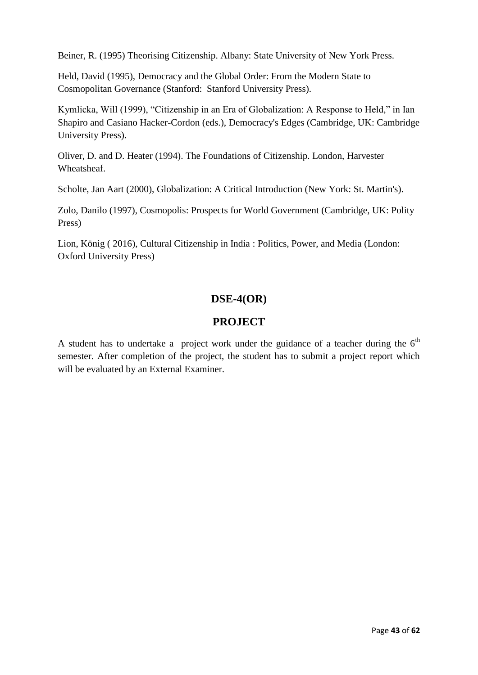Beiner, R. (1995) Theorising Citizenship. Albany: State University of New York Press.

Held, David (1995), Democracy and the Global Order: From the Modern State to Cosmopolitan Governance (Stanford: Stanford University Press).

Kymlicka, Will (1999), "Citizenship in an Era of Globalization: A Response to Held," in Ian Shapiro and Casiano Hacker-Cordon (eds.), Democracy's Edges (Cambridge, UK: Cambridge University Press).

Oliver, D. and D. Heater (1994). The Foundations of Citizenship. London, Harvester Wheatsheaf.

Scholte, Jan Aart (2000), Globalization: A Critical Introduction (New York: St. Martin's).

Zolo, Danilo (1997), Cosmopolis: Prospects for World Government (Cambridge, UK: Polity Press)

Lion, König ( 2016), Cultural Citizenship in India : Politics, Power, and Media (London: Oxford University Press)

# **DSE-4(OR)**

### **PROJECT**

A student has to undertake a project work under the guidance of a teacher during the  $6<sup>th</sup>$ semester. After completion of the project, the student has to submit a project report which will be evaluated by an External Examiner.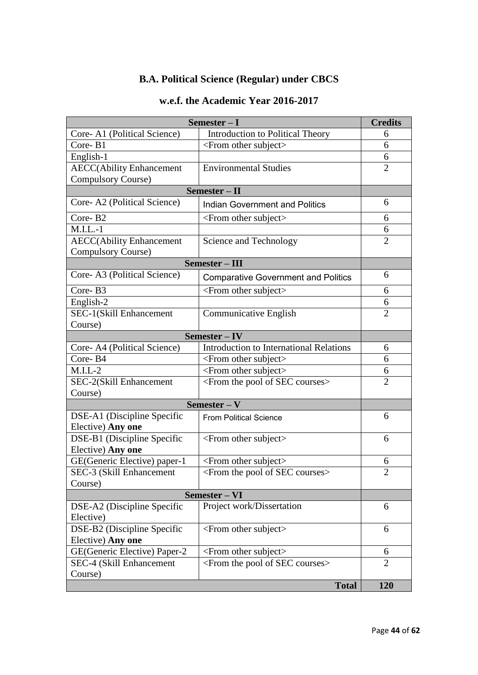# **B.A. Political Science (Regular) under CBCS**

### **w.e.f. the Academic Year 2016-2017**

| Semester $-I$                                    |                                                      |                |
|--------------------------------------------------|------------------------------------------------------|----------------|
| Core- A1 (Political Science)                     | <b>Introduction to Political Theory</b>              | 6              |
| Core-B1                                          | <from other="" subject=""></from>                    | 6              |
| English-1                                        |                                                      | 6              |
| <b>AECC</b> (Ability Enhancement                 | <b>Environmental Studies</b>                         | $\overline{2}$ |
| <b>Compulsory Course)</b>                        |                                                      |                |
| Semester - II                                    |                                                      |                |
| Core- A2 (Political Science)                     | <b>Indian Government and Politics</b>                | 6              |
| Core-B <sub>2</sub>                              | $\le$ From other subject $>$                         | 6              |
| $M.I.L.-1$                                       |                                                      | 6              |
| <b>AECC</b> (Ability Enhancement                 | Science and Technology                               | $\overline{2}$ |
| <b>Compulsory Course)</b>                        |                                                      |                |
| Semester - III                                   |                                                      |                |
| Core- A3 (Political Science)                     | <b>Comparative Government and Politics</b>           | 6              |
| Core-B3                                          | <from other="" subject=""></from>                    | 6              |
| English-2                                        |                                                      | 6              |
| SEC-1(Skill Enhancement                          | Communicative English                                | $\overline{2}$ |
| Course)                                          |                                                      |                |
| Semester - IV                                    |                                                      |                |
| Core- A4 (Political Science)                     | <b>Introduction to International Relations</b>       | 6              |
| Core-B4                                          | <from other="" subject=""></from>                    | 6              |
| $M.I.L-2$                                        | $\le$ From other subject $>$                         | 6              |
| SEC-2(Skill Enhancement                          | <from courses="" of="" pool="" sec="" the=""></from> | $\overline{2}$ |
| Course)                                          |                                                      |                |
| Semester – $V$                                   |                                                      |                |
| DSE-A1 (Discipline Specific                      | <b>From Political Science</b>                        | 6              |
| Elective) Any one                                |                                                      |                |
| DSE-B1 (Discipline Specific                      | $\le$ From other subject $>$                         | 6              |
| Elective) Any one                                |                                                      |                |
| GE(Generic Elective) paper-1                     | <from other="" subject=""></from>                    | 6              |
| SEC-3 (Skill Enhancement                         | <from courses="" of="" pool="" sec="" the=""></from> | $\overline{2}$ |
| Course)                                          |                                                      |                |
| Semester - VI                                    |                                                      |                |
| DSE-A2 (Discipline Specific<br>Elective)         | Project work/Dissertation                            | 6              |
|                                                  |                                                      | 6              |
| DSE-B2 (Discipline Specific<br>Elective) Any one | <from other="" subject=""></from>                    |                |
| GE(Generic Elective) Paper-2                     | <from other="" subject=""></from>                    | 6              |
| SEC-4 (Skill Enhancement                         | <from courses="" of="" pool="" sec="" the=""></from> | $\overline{2}$ |
| Course)                                          |                                                      |                |
|                                                  | <b>Total</b>                                         | 120            |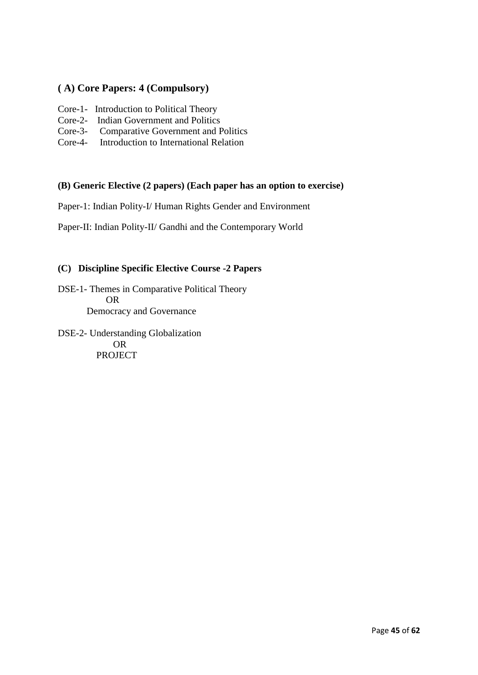### **( A) Core Papers: 4 (Compulsory)**

- Core-1- Introduction to Political Theory
- Core-2- Indian Government and Politics
- Core-3- Comparative Government and Politics
- Core-4- Introduction to International Relation

#### **(B) Generic Elective (2 papers) (Each paper has an option to exercise)**

Paper-1: Indian Polity-I/ Human Rights Gender and Environment

Paper-II: Indian Polity-II/ Gandhi and the Contemporary World

#### **(C) Discipline Specific Elective Course -2 Papers**

DSE-1- Themes in Comparative Political Theory OR Democracy and Governance

DSE-2- Understanding Globalization OR PROJECT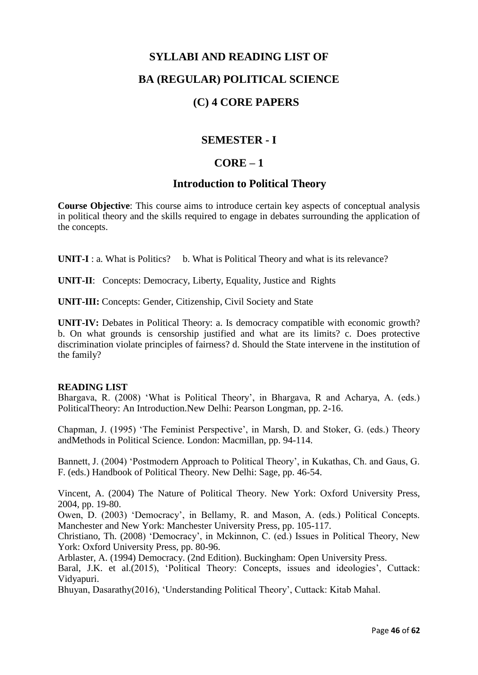# **SYLLABI AND READING LIST OF BA (REGULAR) POLITICAL SCIENCE**

### **(C) 4 CORE PAPERS**

### **SEMESTER - I**

### **CORE – 1**

### **Introduction to Political Theory**

**Course Objective**: This course aims to introduce certain key aspects of conceptual analysis in political theory and the skills required to engage in debates surrounding the application of the concepts.

**UNIT-I**: a. What is Politics? b. What is Political Theory and what is its relevance?

**UNIT-II**: Concepts: Democracy, Liberty, Equality, Justice and Rights

**UNIT-III:** Concepts: Gender, Citizenship, Civil Society and State

**UNIT-IV:** Debates in Political Theory: a. Is democracy compatible with economic growth? b. On what grounds is censorship justified and what are its limits? c. Does protective discrimination violate principles of fairness? d. Should the State intervene in the institution of the family?

#### **READING LIST**

Bhargava, R. (2008) 'What is Political Theory', in Bhargava, R and Acharya, A. (eds.) PoliticalTheory: An Introduction.New Delhi: Pearson Longman, pp. 2-16.

Chapman, J. (1995) 'The Feminist Perspective', in Marsh, D. and Stoker, G. (eds.) Theory andMethods in Political Science. London: Macmillan, pp. 94-114.

Bannett, J. (2004) 'Postmodern Approach to Political Theory', in Kukathas, Ch. and Gaus, G. F. (eds.) Handbook of Political Theory. New Delhi: Sage, pp. 46-54.

Vincent, A. (2004) The Nature of Political Theory. New York: Oxford University Press, 2004, pp. 19-80.

Owen, D. (2003) 'Democracy', in Bellamy, R. and Mason, A. (eds.) Political Concepts. Manchester and New York: Manchester University Press, pp. 105-117.

Christiano, Th. (2008) 'Democracy', in Mckinnon, C. (ed.) Issues in Political Theory, New York: Oxford University Press, pp. 80-96.

Arblaster, A. (1994) Democracy. (2nd Edition). Buckingham: Open University Press.

Baral, J.K. et al.(2015), 'Political Theory: Concepts, issues and ideologies', Cuttack: Vidyapuri.

Bhuyan, Dasarathy(2016), 'Understanding Political Theory', Cuttack: Kitab Mahal.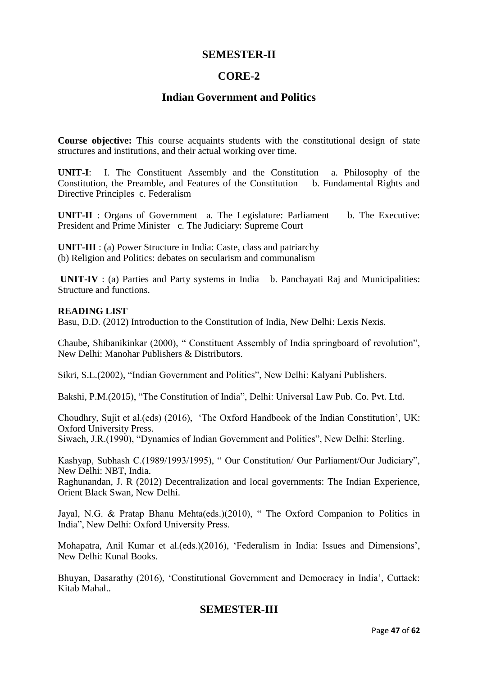### **SEMESTER-II**

### **CORE-2**

### **Indian Government and Politics**

**Course objective:** This course acquaints students with the constitutional design of state structures and institutions, and their actual working over time.

**UNIT-I**: I. The Constituent Assembly and the Constitution a. Philosophy of the Constitution, the Preamble, and Features of the Constitution b. Fundamental Rights and Directive Principlesc. Federalism

**UNIT-II** : Organs of Government a. The Legislature: Parliament b. The Executive: President and Prime Minister c. The Judiciary: Supreme Court

**UNIT-III** : (a) Power Structure in India: Caste, class and patriarchy (b) Religion and Politics: debates on secularism and communalism

**UNIT-IV** : (a) Parties and Party systems in India b. Panchayati Raj and Municipalities: Structure and functions.

#### **READING LIST**

Basu, D.D. (2012) Introduction to the Constitution of India, New Delhi: Lexis Nexis.

Chaube, Shibanikinkar (2000), " Constituent Assembly of India springboard of revolution", New Delhi: Manohar Publishers & Distributors.

Sikri, S.L.(2002), "Indian Government and Politics", New Delhi: Kalyani Publishers.

Bakshi, P.M.(2015), "The Constitution of India", Delhi: Universal Law Pub. Co. Pvt. Ltd.

Choudhry, Sujit et al.(eds) (2016), 'The Oxford Handbook of the Indian Constitution', UK: Oxford University Press.

Siwach, J.R.(1990), "Dynamics of Indian Government and Politics", New Delhi: Sterling.

Kashyap, Subhash C.(1989/1993/1995), " Our Constitution/ Our Parliament/Our Judiciary", New Delhi: NBT, India.

Raghunandan, J. R (2012) Decentralization and local governments: The Indian Experience, Orient Black Swan, New Delhi.

Jayal, N.G. & Pratap Bhanu Mehta(eds.)(2010), " The Oxford Companion to Politics in India", New Delhi: Oxford University Press.

Mohapatra, Anil Kumar et al.(eds.)(2016), 'Federalism in India: Issues and Dimensions', New Delhi: Kunal Books.

Bhuyan, Dasarathy (2016), 'Constitutional Government and Democracy in India', Cuttack: Kitab Mahal..

### **SEMESTER-III**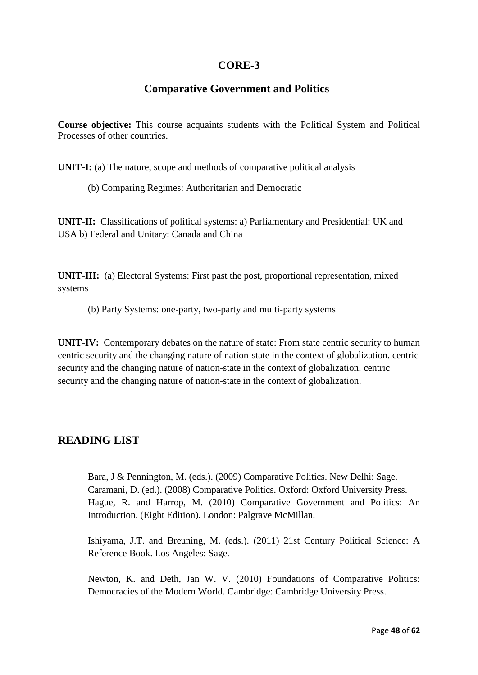### **CORE-3**

### **Comparative Government and Politics**

**Course objective:** This course acquaints students with the Political System and Political Processes of other countries.

**UNIT-I:** (a) The nature, scope and methods of comparative political analysis

(b) Comparing Regimes: Authoritarian and Democratic

**UNIT-II:** Classifications of political systems: a) Parliamentary and Presidential: UK and USA b) Federal and Unitary: Canada and China

**UNIT-III:** (a) Electoral Systems: First past the post, proportional representation, mixed systems

(b) Party Systems: one-party, two-party and multi-party systems

**UNIT-IV:** Contemporary debates on the nature of state: From state centric security to human centric security and the changing nature of nation-state in the context of globalization. centric security and the changing nature of nation-state in the context of globalization. centric security and the changing nature of nation-state in the context of globalization.

### **READING LIST**

Bara, J & Pennington, M. (eds.). (2009) Comparative Politics. New Delhi: Sage. Caramani, D. (ed.). (2008) Comparative Politics. Oxford: Oxford University Press. Hague, R. and Harrop, M. (2010) Comparative Government and Politics: An Introduction. (Eight Edition). London: Palgrave McMillan.

Ishiyama, J.T. and Breuning, M. (eds.). (2011) 21st Century Political Science: A Reference Book. Los Angeles: Sage.

Newton, K. and Deth, Jan W. V. (2010) Foundations of Comparative Politics: Democracies of the Modern World. Cambridge: Cambridge University Press.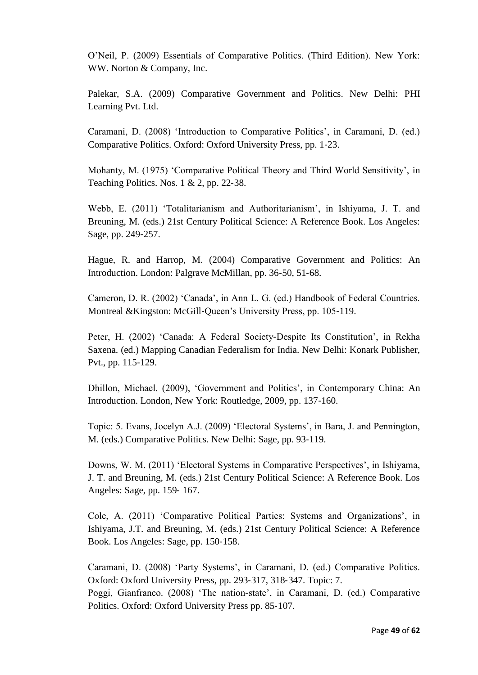O'Neil, P. (2009) Essentials of Comparative Politics. (Third Edition). New York: WW. Norton & Company, Inc.

Palekar, S.A. (2009) Comparative Government and Politics. New Delhi: PHI Learning Pvt. Ltd.

Caramani, D. (2008) 'Introduction to Comparative Politics', in Caramani, D. (ed.) Comparative Politics. Oxford: Oxford University Press, pp. 1‐23.

Mohanty, M. (1975) 'Comparative Political Theory and Third World Sensitivity', in Teaching Politics. Nos. 1 & 2, pp. 22-38.

Webb, E. (2011) 'Totalitarianism and Authoritarianism', in Ishiyama, J. T. and Breuning, M. (eds.) 21st Century Political Science: A Reference Book. Los Angeles: Sage, pp. 249‐257.

Hague, R. and Harrop, M. (2004) Comparative Government and Politics: An Introduction. London: Palgrave McMillan, pp. 36‐50, 51‐68.

Cameron, D. R. (2002) 'Canada', in Ann L. G. (ed.) Handbook of Federal Countries. Montreal &Kingston: McGill‐Queen's University Press, pp. 105‐119.

Peter, H. (2002) 'Canada: A Federal Society‐Despite Its Constitution', in Rekha Saxena. (ed.) Mapping Canadian Federalism for India. New Delhi: Konark Publisher, Pvt., pp. 115‐129.

Dhillon, Michael. (2009), 'Government and Politics', in Contemporary China: An Introduction. London, New York: Routledge, 2009, pp. 137‐160.

Topic: 5. Evans, Jocelyn A.J. (2009) 'Electoral Systems', in Bara, J. and Pennington, M. (eds.) Comparative Politics. New Delhi: Sage, pp. 93‐119.

Downs, W. M. (2011) 'Electoral Systems in Comparative Perspectives', in Ishiyama, J. T. and Breuning, M. (eds.) 21st Century Political Science: A Reference Book. Los Angeles: Sage, pp. 159‐ 167.

Cole, A. (2011) 'Comparative Political Parties: Systems and Organizations', in Ishiyama, J.T. and Breuning, M. (eds.) 21st Century Political Science: A Reference Book. Los Angeles: Sage, pp. 150‐158.

Caramani, D. (2008) 'Party Systems', in Caramani, D. (ed.) Comparative Politics. Oxford: Oxford University Press, pp. 293‐317, 318‐347. Topic: 7. Poggi, Gianfranco. (2008) 'The nation‐state', in Caramani, D. (ed.) Comparative Politics. Oxford: Oxford University Press pp. 85‐107.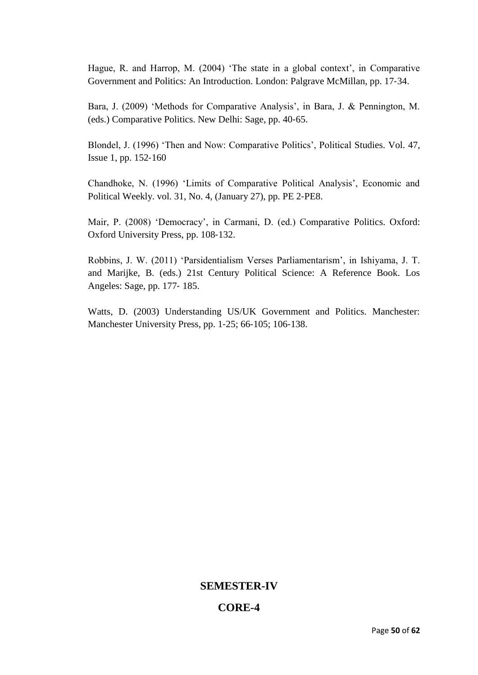Hague, R. and Harrop, M. (2004) 'The state in a global context', in Comparative Government and Politics: An Introduction. London: Palgrave McMillan, pp. 17‐34.

Bara, J. (2009) 'Methods for Comparative Analysis', in Bara, J. & Pennington, M. (eds.) Comparative Politics. New Delhi: Sage, pp. 40‐65.

Blondel, J. (1996) 'Then and Now: Comparative Politics', Political Studies. Vol. 47, Issue 1, pp. 152‐160

Chandhoke, N. (1996) 'Limits of Comparative Political Analysis', Economic and Political Weekly. vol. 31, No. 4, (January 27), pp. PE 2‐PE8.

Mair, P. (2008) 'Democracy', in Carmani, D. (ed.) Comparative Politics. Oxford: Oxford University Press, pp. 108‐132.

Robbins, J. W. (2011) 'Parsidentialism Verses Parliamentarism', in Ishiyama, J. T. and Marijke, B. (eds.) 21st Century Political Science: A Reference Book. Los Angeles: Sage, pp. 177‐ 185.

Watts, D. (2003) Understanding US/UK Government and Politics. Manchester: Manchester University Press, pp. 1‐25; 66‐105; 106‐138.

#### **SEMESTER-IV**

### **CORE-4**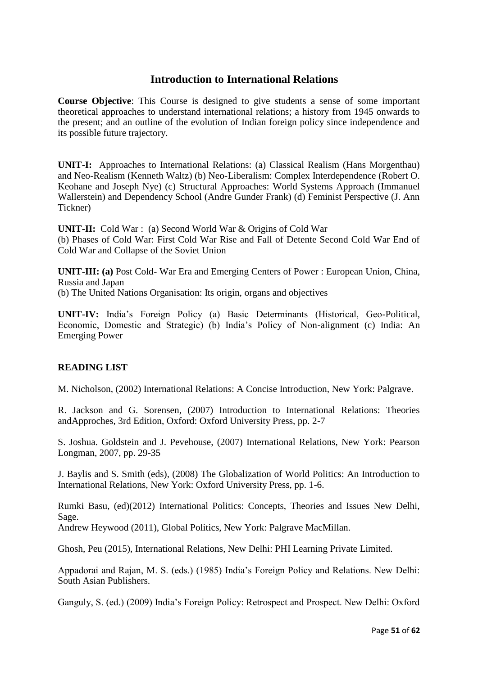### **Introduction to International Relations**

**Course Objective**: This Course is designed to give students a sense of some important theoretical approaches to understand international relations; a history from 1945 onwards to the present; and an outline of the evolution of Indian foreign policy since independence and its possible future trajectory.

**UNIT-I:** Approaches to International Relations: (a) Classical Realism (Hans Morgenthau) and Neo-Realism (Kenneth Waltz) (b) Neo-Liberalism: Complex Interdependence (Robert O. Keohane and Joseph Nye) (c) Structural Approaches: World Systems Approach (Immanuel Wallerstein) and Dependency School (Andre Gunder Frank) (d) Feminist Perspective (J. Ann Tickner)

**UNIT-II:** Cold War : (a) Second World War & Origins of Cold War (b) Phases of Cold War: First Cold War Rise and Fall of Detente Second Cold War End of Cold War and Collapse of the Soviet Union

**UNIT-III: (a)** Post Cold- War Era and Emerging Centers of Power : European Union, China, Russia and Japan (b) The United Nations Organisation: Its origin, organs and objectives

**UNIT-IV:** India's Foreign Policy (a) Basic Determinants (Historical, Geo-Political, Economic, Domestic and Strategic) (b) India's Policy of Non-alignment (c) India: An Emerging Power

### **READING LIST**

M. Nicholson, (2002) International Relations: A Concise Introduction, New York: Palgrave.

R. Jackson and G. Sorensen, (2007) Introduction to International Relations: Theories andApproches, 3rd Edition, Oxford: Oxford University Press, pp. 2-7

S. Joshua. Goldstein and J. Pevehouse, (2007) International Relations, New York: Pearson Longman, 2007, pp. 29-35

J. Baylis and S. Smith (eds), (2008) The Globalization of World Politics: An Introduction to International Relations, New York: Oxford University Press, pp. 1-6.

Rumki Basu, (ed)(2012) International Politics: Concepts, Theories and Issues New Delhi, Sage.

Andrew Heywood (2011), Global Politics, New York: Palgrave MacMillan.

Ghosh, Peu (2015), International Relations, New Delhi: PHI Learning Private Limited.

Appadorai and Rajan, M. S. (eds.) (1985) India's Foreign Policy and Relations. New Delhi: South Asian Publishers.

Ganguly, S. (ed.) (2009) India's Foreign Policy: Retrospect and Prospect. New Delhi: Oxford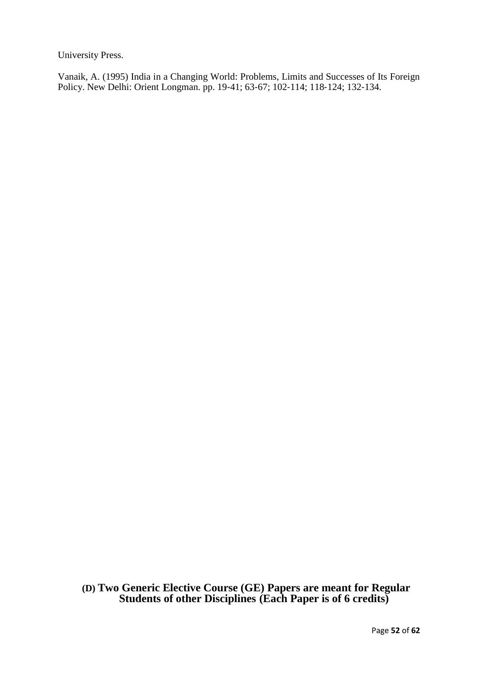University Press.

Vanaik, A. (1995) India in a Changing World: Problems, Limits and Successes of Its Foreign Policy. New Delhi: Orient Longman. pp. 19‐41; 63‐67; 102‐114; 118‐124; 132‐134.

**(D) Two Generic Elective Course (GE) Papers are meant for Regular Students of other Disciplines (Each Paper is of 6 credits)**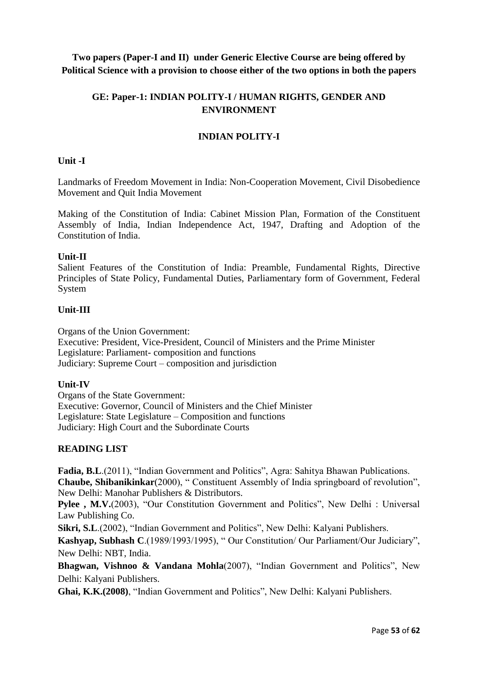**Two papers (Paper-I and II) under Generic Elective Course are being offered by Political Science with a provision to choose either of the two options in both the papers**

### **GE: Paper-1: INDIAN POLITY-I / HUMAN RIGHTS, GENDER AND ENVIRONMENT**

### **INDIAN POLITY-I**

#### **Unit -I**

Landmarks of Freedom Movement in India: Non-Cooperation Movement, Civil Disobedience Movement and Quit India Movement

Making of the Constitution of India: Cabinet Mission Plan, Formation of the Constituent Assembly of India, Indian Independence Act, 1947, Drafting and Adoption of the Constitution of India.

#### **Unit-II**

Salient Features of the Constitution of India: Preamble, Fundamental Rights, Directive Principles of State Policy, Fundamental Duties, Parliamentary form of Government, Federal System

#### **Unit-III**

Organs of the Union Government:

Executive: President, Vice-President, Council of Ministers and the Prime Minister Legislature: Parliament- composition and functions Judiciary: Supreme Court – composition and jurisdiction

#### **Unit-IV**

Organs of the State Government: Executive: Governor, Council of Ministers and the Chief Minister Legislature: State Legislature – Composition and functions Judiciary: High Court and the Subordinate Courts

#### **READING LIST**

**Fadia, B.L**.(2011), "Indian Government and Politics", Agra: Sahitya Bhawan Publications. **Chaube, Shibanikinkar**(2000), " Constituent Assembly of India springboard of revolution", New Delhi: Manohar Publishers & Distributors.

Pylee , M.V.<sup>(2003)</sup>, "Our Constitution Government and Politics", New Delhi : Universal Law Publishing Co.

**Sikri, S.L**.(2002), "Indian Government and Politics", New Delhi: Kalyani Publishers.

**Kashyap, Subhash C**.(1989/1993/1995), " Our Constitution/ Our Parliament/Our Judiciary", New Delhi: NBT, India.

**Bhagwan, Vishnoo & Vandana Mohla**(2007), "Indian Government and Politics", New Delhi: Kalyani Publishers.

**Ghai, K.K.(2008)**, "Indian Government and Politics", New Delhi: Kalyani Publishers.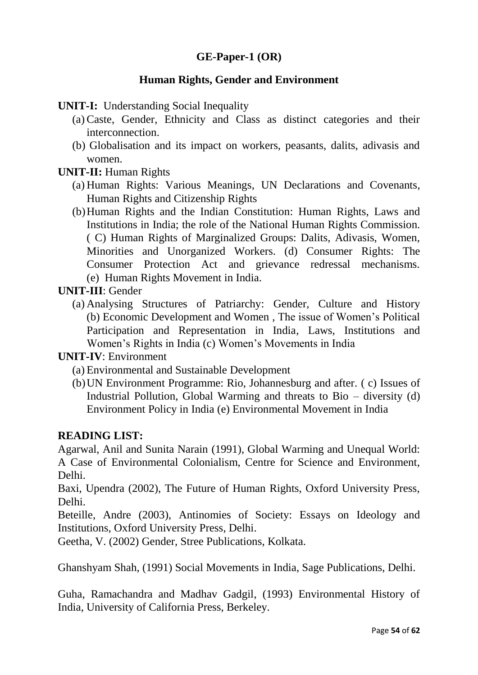# **GE-Paper-1 (OR)**

# **Human Rights, Gender and Environment**

**UNIT-I:** Understanding Social Inequality

- (a) Caste, Gender, Ethnicity and Class as distinct categories and their interconnection.
- (b) Globalisation and its impact on workers, peasants, dalits, adivasis and women.

### **UNIT-II:** Human Rights

- (a) Human Rights: Various Meanings, UN Declarations and Covenants, Human Rights and Citizenship Rights
- (b)Human Rights and the Indian Constitution: Human Rights, Laws and Institutions in India; the role of the National Human Rights Commission. ( C) Human Rights of Marginalized Groups: Dalits, Adivasis, Women, Minorities and Unorganized Workers. (d) Consumer Rights: The Consumer Protection Act and grievance redressal mechanisms. (e) Human Rights Movement in India.

### **UNIT-III**: Gender

(a) Analysing Structures of Patriarchy: Gender, Culture and History (b) Economic Development and Women , The issue of Women's Political Participation and Representation in India, Laws, Institutions and Women's Rights in India (c) Women's Movements in India

### **UNIT-IV**: Environment

- (a) Environmental and Sustainable Development
- (b)UN Environment Programme: Rio, Johannesburg and after. ( c) Issues of Industrial Pollution, Global Warming and threats to Bio – diversity (d) Environment Policy in India (e) Environmental Movement in India

### **READING LIST:**

Agarwal, Anil and Sunita Narain (1991), Global Warming and Unequal World: A Case of Environmental Colonialism, Centre for Science and Environment, Delhi.

Baxi, Upendra (2002), The Future of Human Rights, Oxford University Press, Delhi.

Beteille, Andre (2003), Antinomies of Society: Essays on Ideology and Institutions, Oxford University Press, Delhi.

Geetha, V. (2002) Gender, Stree Publications, Kolkata.

Ghanshyam Shah, (1991) Social Movements in India, Sage Publications, Delhi.

Guha, Ramachandra and Madhav Gadgil, (1993) Environmental History of India, University of California Press, Berkeley.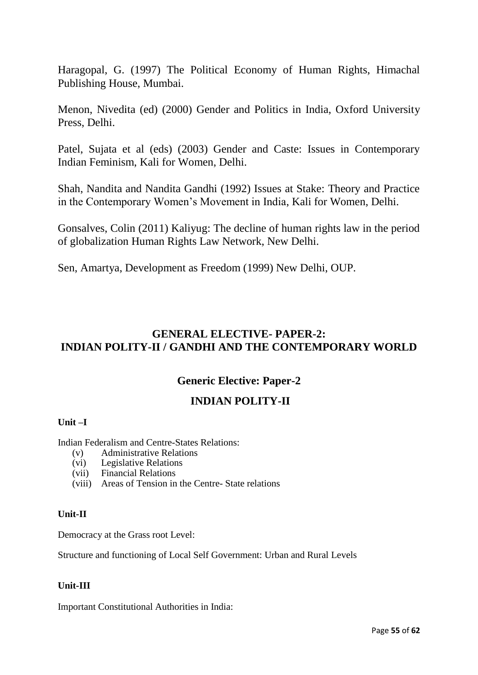Haragopal, G. (1997) The Political Economy of Human Rights, Himachal Publishing House, Mumbai.

Menon, Nivedita (ed) (2000) Gender and Politics in India, Oxford University Press, Delhi.

Patel, Sujata et al (eds) (2003) Gender and Caste: Issues in Contemporary Indian Feminism, Kali for Women, Delhi.

Shah, Nandita and Nandita Gandhi (1992) Issues at Stake: Theory and Practice in the Contemporary Women's Movement in India, Kali for Women, Delhi.

Gonsalves, Colin (2011) Kaliyug: The decline of human rights law in the period of globalization Human Rights Law Network, New Delhi.

Sen, Amartya, Development as Freedom (1999) New Delhi, OUP.

# **GENERAL ELECTIVE- PAPER-2: INDIAN POLITY-II / GANDHI AND THE CONTEMPORARY WORLD**

# **Generic Elective: Paper-2**

### **INDIAN POLITY-II**

### **Unit –I**

Indian Federalism and Centre-States Relations:

- (v) Administrative Relations
- (vi) Legislative Relations
- (vii) Financial Relations
- (viii) Areas of Tension in the Centre- State relations

#### **Unit-II**

Democracy at the Grass root Level:

Structure and functioning of Local Self Government: Urban and Rural Levels

#### **Unit-III**

Important Constitutional Authorities in India: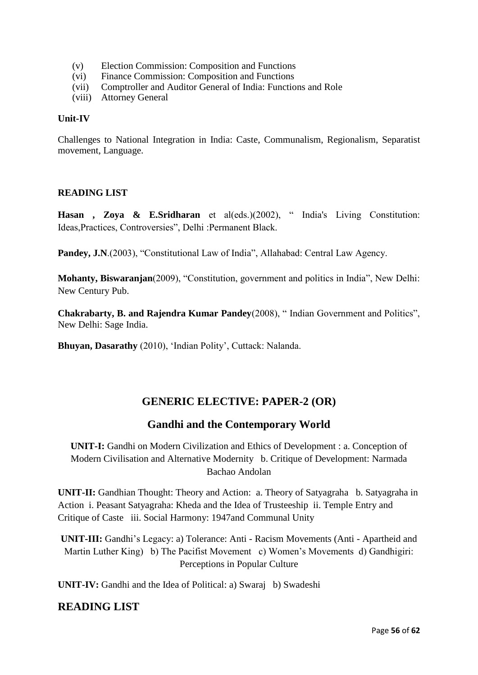- (v) Election Commission: Composition and Functions
- (vi) Finance Commission: Composition and Functions
- (vii) Comptroller and Auditor General of India: Functions and Role
- (viii) Attorney General

#### **Unit-IV**

Challenges to National Integration in India: Caste, Communalism, Regionalism, Separatist movement, Language.

### **READING LIST**

**Hasan , Zoya & E.Sridharan** et al(eds.)(2002), " India's Living Constitution: Ideas,Practices, Controversies", Delhi :Permanent Black.

Pandey, J.N.(2003), "Constitutional Law of India", Allahabad: Central Law Agency.

**Mohanty, Biswaranjan**(2009), "Constitution, government and politics in India", New Delhi: New Century Pub.

**Chakrabarty, B. and Rajendra Kumar Pandey**(2008), " Indian Government and Politics", New Delhi: Sage India.

**Bhuyan, Dasarathy** (2010), 'Indian Polity', Cuttack: Nalanda.

### **GENERIC ELECTIVE: PAPER-2 (OR)**

### **Gandhi and the Contemporary World**

**UNIT-I:** Gandhi on Modern Civilization and Ethics of Development : a. Conception of Modern Civilisation and Alternative Modernity b. Critique of Development: Narmada Bachao Andolan

**UNIT-II:** Gandhian Thought: Theory and Action: a. Theory of Satyagraha b. Satyagraha in Action i. Peasant Satyagraha: Kheda and the Idea of Trusteeship ii. Temple Entry and Critique of Caste iii. Social Harmony: 1947and Communal Unity

**UNIT-III:** Gandhi's Legacy: a) Tolerance: Anti - Racism Movements (Anti - Apartheid and Martin Luther King) b) The Pacifist Movement c) Women's Movements d) Gandhigiri: Perceptions in Popular Culture

**UNIT-IV:** Gandhi and the Idea of Political: a) Swaraj b) Swadeshi

### **READING LIST**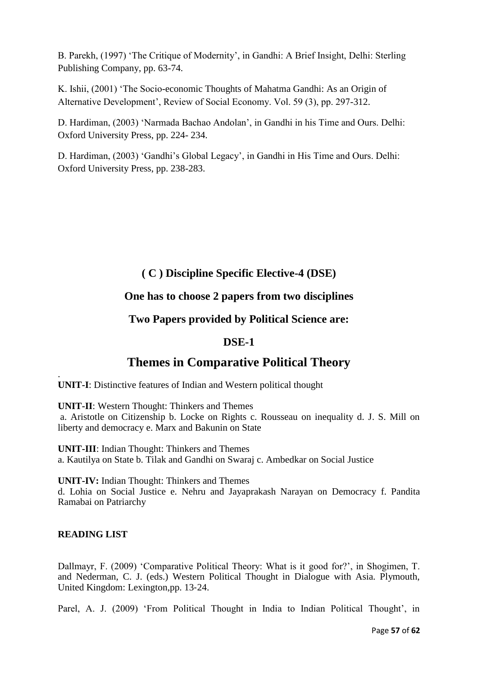B. Parekh, (1997) 'The Critique of Modernity', in Gandhi: A Brief Insight, Delhi: Sterling Publishing Company, pp. 63-74.

K. Ishii, (2001) 'The Socio-economic Thoughts of Mahatma Gandhi: As an Origin of Alternative Development', Review of Social Economy. Vol. 59 (3), pp. 297-312.

D. Hardiman, (2003) 'Narmada Bachao Andolan', in Gandhi in his Time and Ours. Delhi: Oxford University Press, pp. 224- 234.

D. Hardiman, (2003) 'Gandhi's Global Legacy', in Gandhi in His Time and Ours. Delhi: Oxford University Press, pp. 238-283.

### **( C ) Discipline Specific Elective-4 (DSE)**

### **One has to choose 2 papers from two disciplines**

### **Two Papers provided by Political Science are:**

### **DSE-1**

# **Themes in Comparative Political Theory**

. **UNIT-I**: Distinctive features of Indian and Western political thought

**UNIT-II**: Western Thought: Thinkers and Themes a. Aristotle on Citizenship b. Locke on Rights c. Rousseau on inequality d. J. S. Mill on liberty and democracy e. Marx and Bakunin on State

**UNIT-III**: Indian Thought: Thinkers and Themes a. Kautilya on State b. Tilak and Gandhi on Swaraj c. Ambedkar on Social Justice

**UNIT-IV:** Indian Thought: Thinkers and Themes d. Lohia on Social Justice e. Nehru and Jayaprakash Narayan on Democracy f. Pandita Ramabai on Patriarchy

### **READING LIST**

Dallmayr, F. (2009) 'Comparative Political Theory: What is it good for?', in Shogimen, T. and Nederman, C. J. (eds.) Western Political Thought in Dialogue with Asia. Plymouth, United Kingdom: Lexington,pp. 13‐24.

Parel, A. J. (2009) 'From Political Thought in India to Indian Political Thought', in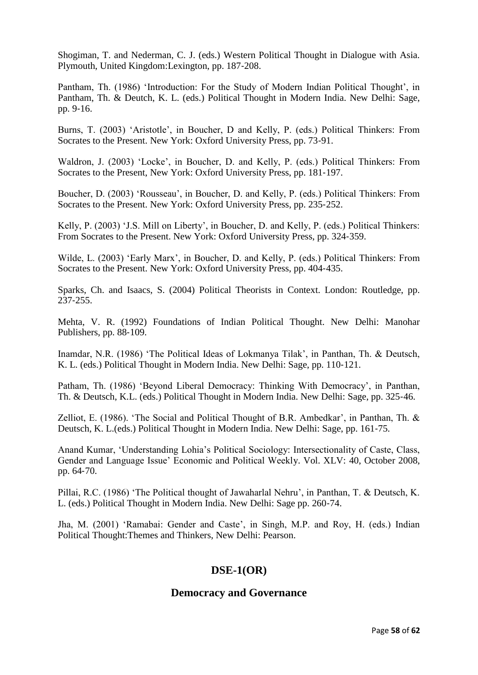Shogiman, T. and Nederman, C. J. (eds.) Western Political Thought in Dialogue with Asia. Plymouth, United Kingdom:Lexington, pp. 187‐208.

Pantham, Th. (1986) 'Introduction: For the Study of Modern Indian Political Thought', in Pantham, Th. & Deutch, K. L. (eds.) Political Thought in Modern India. New Delhi: Sage, pp. 9‐16.

Burns, T. (2003) 'Aristotle', in Boucher, D and Kelly, P. (eds.) Political Thinkers: From Socrates to the Present. New York: Oxford University Press, pp. 73‐91.

Waldron, J. (2003) 'Locke', in Boucher, D. and Kelly, P. (eds.) Political Thinkers: From Socrates to the Present, New York: Oxford University Press, pp. 181‐197.

Boucher, D. (2003) 'Rousseau', in Boucher, D. and Kelly, P. (eds.) Political Thinkers: From Socrates to the Present. New York: Oxford University Press, pp. 235‐252.

Kelly, P. (2003) 'J.S. Mill on Liberty', in Boucher, D. and Kelly, P. (eds.) Political Thinkers: From Socrates to the Present. New York: Oxford University Press, pp. 324‐359.

Wilde, L. (2003) 'Early Marx', in Boucher, D. and Kelly, P. (eds.) Political Thinkers: From Socrates to the Present. New York: Oxford University Press, pp. 404‐435.

Sparks, Ch. and Isaacs, S. (2004) Political Theorists in Context. London: Routledge, pp. 237‐255.

Mehta, V. R. (1992) Foundations of Indian Political Thought. New Delhi: Manohar Publishers, pp. 88‐109.

Inamdar, N.R. (1986) 'The Political Ideas of Lokmanya Tilak', in Panthan, Th. & Deutsch, K. L. (eds.) Political Thought in Modern India. New Delhi: Sage, pp. 110‐121.

Patham, Th. (1986) 'Beyond Liberal Democracy: Thinking With Democracy', in Panthan, Th. & Deutsch, K.L. (eds.) Political Thought in Modern India. New Delhi: Sage, pp. 325‐46.

Zelliot, E. (1986). 'The Social and Political Thought of B.R. Ambedkar', in Panthan, Th. & Deutsch, K. L.(eds.) Political Thought in Modern India. New Delhi: Sage, pp. 161‐75.

Anand Kumar, 'Understanding Lohia's Political Sociology: Intersectionality of Caste, Class, Gender and Language Issue' Economic and Political Weekly. Vol. XLV: 40, October 2008, pp. 64‐70.

Pillai, R.C. (1986) 'The Political thought of Jawaharlal Nehru', in Panthan, T. & Deutsch, K. L. (eds.) Political Thought in Modern India. New Delhi: Sage pp. 260‐74.

Jha, M. (2001) 'Ramabai: Gender and Caste', in Singh, M.P. and Roy, H. (eds.) Indian Political Thought:Themes and Thinkers, New Delhi: Pearson.

### **DSE-1(OR)**

### **Democracy and Governance**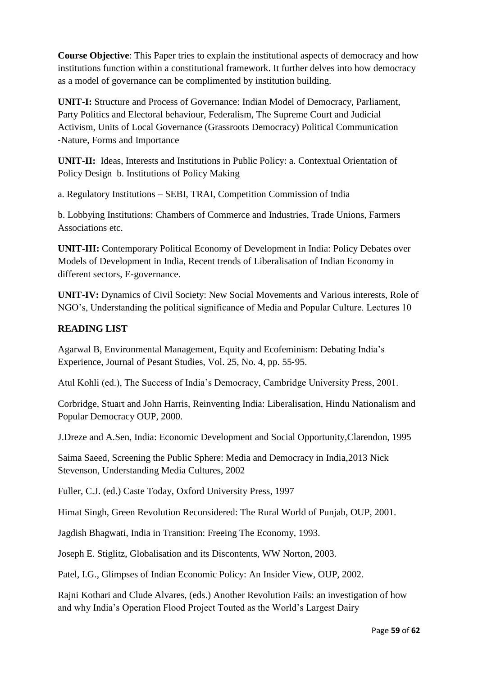**Course Objective**: This Paper tries to explain the institutional aspects of democracy and how institutions function within a constitutional framework. It further delves into how democracy as a model of governance can be complimented by institution building.

**UNIT-I:** Structure and Process of Governance: Indian Model of Democracy, Parliament, Party Politics and Electoral behaviour, Federalism, The Supreme Court and Judicial Activism, Units of Local Governance (Grassroots Democracy) Political Communication ‐Nature, Forms and Importance

**UNIT-II:** Ideas, Interests and Institutions in Public Policy: a. Contextual Orientation of Policy Design b. Institutions of Policy Making

a. Regulatory Institutions – SEBI, TRAI, Competition Commission of India

b. Lobbying Institutions: Chambers of Commerce and Industries, Trade Unions, Farmers Associations etc.

**UNIT-III:** Contemporary Political Economy of Development in India: Policy Debates over Models of Development in India, Recent trends of Liberalisation of Indian Economy in different sectors, E‐governance.

**UNIT-IV:** Dynamics of Civil Society: New Social Movements and Various interests, Role of NGO's, Understanding the political significance of Media and Popular Culture. Lectures 10

### **READING LIST**

Agarwal B, Environmental Management, Equity and Ecofeminism: Debating India's Experience, Journal of Pesant Studies, Vol. 25, No. 4, pp. 55‐95.

Atul Kohli (ed.), The Success of India's Democracy, Cambridge University Press, 2001.

Corbridge, Stuart and John Harris, Reinventing India: Liberalisation, Hindu Nationalism and Popular Democracy OUP, 2000.

J.Dreze and A.Sen, India: Economic Development and Social Opportunity,Clarendon, 1995

Saima Saeed, Screening the Public Sphere: Media and Democracy in India,2013 Nick Stevenson, Understanding Media Cultures, 2002

Fuller, C.J. (ed.) Caste Today, Oxford University Press, 1997

Himat Singh, Green Revolution Reconsidered: The Rural World of Punjab, OUP, 2001.

Jagdish Bhagwati, India in Transition: Freeing The Economy, 1993.

Joseph E. Stiglitz, Globalisation and its Discontents, WW Norton, 2003.

Patel, I.G., Glimpses of Indian Economic Policy: An Insider View, OUP, 2002.

Rajni Kothari and Clude Alvares, (eds.) Another Revolution Fails: an investigation of how and why India's Operation Flood Project Touted as the World's Largest Dairy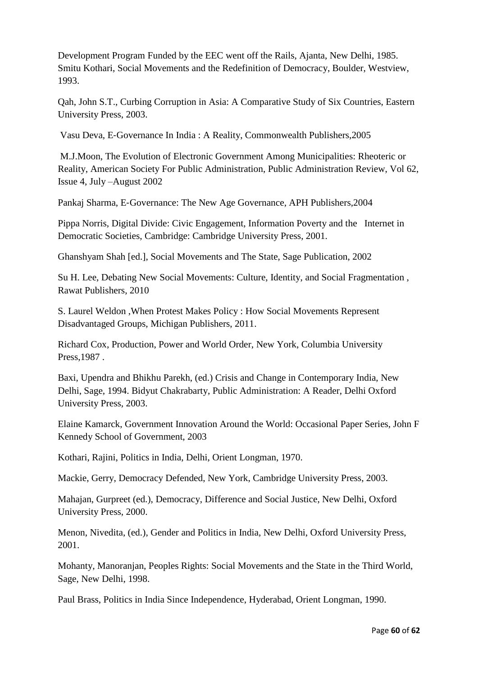Development Program Funded by the EEC went off the Rails, Ajanta, New Delhi, 1985. Smitu Kothari, Social Movements and the Redefinition of Democracy, Boulder, Westview, 1993.

Qah, John S.T., Curbing Corruption in Asia: A Comparative Study of Six Countries, Eastern University Press, 2003.

Vasu Deva, E‐Governance In India : A Reality, Commonwealth Publishers,2005

M.J.Moon, The Evolution of Electronic Government Among Municipalities: Rheoteric or Reality, American Society For Public Administration, Public Administration Review, Vol 62, Issue 4, July –August 2002

Pankaj Sharma, E‐Governance: The New Age Governance, APH Publishers,2004

Pippa Norris, Digital Divide: Civic Engagement, Information Poverty and the Internet in Democratic Societies, Cambridge: Cambridge University Press, 2001.

Ghanshyam Shah [ed.], Social Movements and The State, Sage Publication, 2002

Su H. Lee, Debating New Social Movements: Culture, Identity, and Social Fragmentation , Rawat Publishers, 2010

S. Laurel Weldon ,When Protest Makes Policy : How Social Movements Represent Disadvantaged Groups, Michigan Publishers, 2011.

Richard Cox, Production, Power and World Order, New York, Columbia University Press,1987 .

Baxi, Upendra and Bhikhu Parekh, (ed.) Crisis and Change in Contemporary India, New Delhi, Sage, 1994. Bidyut Chakrabarty, Public Administration: A Reader, Delhi Oxford University Press, 2003.

Elaine Kamarck, Government Innovation Around the World: Occasional Paper Series, John F Kennedy School of Government, 2003

Kothari, Rajini, Politics in India, Delhi, Orient Longman, 1970.

Mackie, Gerry, Democracy Defended, New York, Cambridge University Press, 2003.

Mahajan, Gurpreet (ed.), Democracy, Difference and Social Justice, New Delhi, Oxford University Press, 2000.

Menon, Nivedita, (ed.), Gender and Politics in India, New Delhi, Oxford University Press, 2001.

Mohanty, Manoranjan, Peoples Rights: Social Movements and the State in the Third World, Sage, New Delhi, 1998.

Paul Brass, Politics in India Since Independence, Hyderabad, Orient Longman, 1990.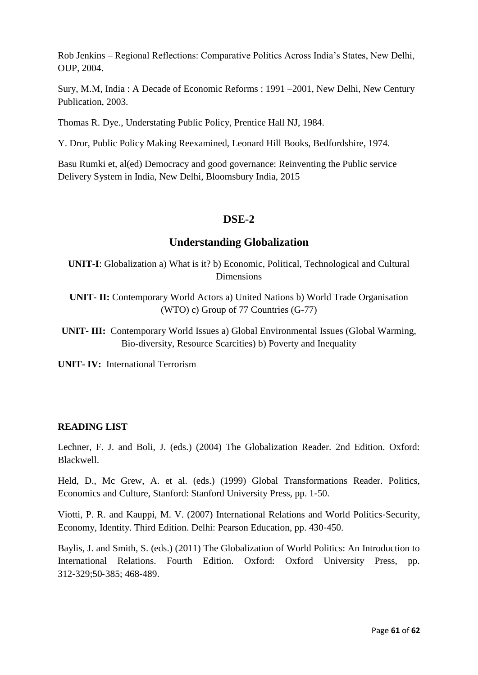Rob Jenkins – Regional Reflections: Comparative Politics Across India's States, New Delhi, OUP, 2004.

Sury, M.M, India : A Decade of Economic Reforms : 1991 –2001, New Delhi, New Century Publication, 2003.

Thomas R. Dye., Understating Public Policy, Prentice Hall NJ, 1984.

Y. Dror, Public Policy Making Reexamined, Leonard Hill Books, Bedfordshire, 1974.

Basu Rumki et, al(ed) Democracy and good governance: Reinventing the Public service Delivery System in India, New Delhi, Bloomsbury India, 2015

### **DSE-2**

### **Understanding Globalization**

**UNIT-I**: Globalization a) What is it? b) Economic, Political, Technological and Cultural Dimensions

**UNIT- II:** Contemporary World Actors a) United Nations b) World Trade Organisation (WTO) c) Group of 77 Countries (G-77)

**UNIT- III:** Contemporary World Issues a) Global Environmental Issues (Global Warming, Bio-diversity, Resource Scarcities) b) Poverty and Inequality

**UNIT- IV:** International Terrorism

### **READING LIST**

Lechner, F. J. and Boli, J. (eds.) (2004) The Globalization Reader. 2nd Edition. Oxford: Blackwell.

Held, D., Mc Grew, A. et al. (eds.) (1999) Global Transformations Reader. Politics, Economics and Culture, Stanford: Stanford University Press, pp. 1‐50.

Viotti, P. R. and Kauppi, M. V. (2007) International Relations and World Politics‐Security, Economy, Identity. Third Edition. Delhi: Pearson Education, pp. 430‐450.

Baylis, J. and Smith, S. (eds.) (2011) The Globalization of World Politics: An Introduction to International Relations. Fourth Edition. Oxford: Oxford University Press, pp. 312‐329;50‐385; 468‐489.